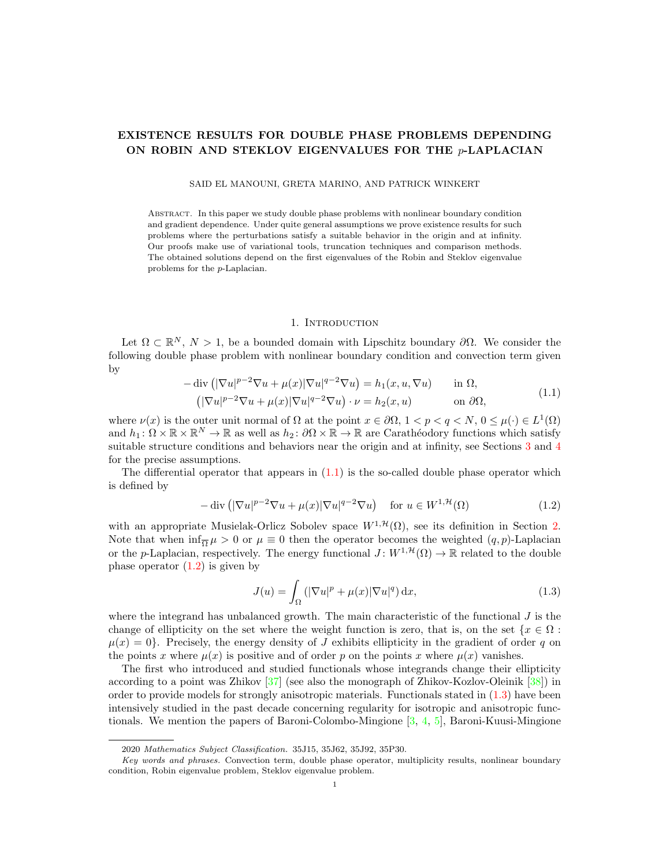# EXISTENCE RESULTS FOR DOUBLE PHASE PROBLEMS DEPENDING ON ROBIN AND STEKLOV EIGENVALUES FOR THE p-LAPLACIAN

SAID EL MANOUNI, GRETA MARINO, AND PATRICK WINKERT

Abstract. In this paper we study double phase problems with nonlinear boundary condition and gradient dependence. Under quite general assumptions we prove existence results for such problems where the perturbations satisfy a suitable behavior in the origin and at infinity. Our proofs make use of variational tools, truncation techniques and comparison methods. The obtained solutions depend on the first eigenvalues of the Robin and Steklov eigenvalue problems for the p-Laplacian.

# 1. INTRODUCTION

Let  $\Omega \subset \mathbb{R}^N$ ,  $N > 1$ , be a bounded domain with Lipschitz boundary  $\partial \Omega$ . We consider the following double phase problem with nonlinear boundary condition and convection term given by

<span id="page-0-0"></span>
$$
-\operatorname{div}\left(|\nabla u|^{p-2}\nabla u + \mu(x)|\nabla u|^{q-2}\nabla u\right) = h_1(x, u, \nabla u) \quad \text{in } \Omega,
$$
  

$$
\left(|\nabla u|^{p-2}\nabla u + \mu(x)|\nabla u|^{q-2}\nabla u\right) \cdot \nu = h_2(x, u) \quad \text{on } \partial\Omega,
$$
 (1.1)

where  $\nu(x)$  is the outer unit normal of  $\Omega$  at the point  $x \in \partial\Omega$ ,  $1 < p < q < N$ ,  $0 \le \mu(\cdot) \in L^1(\Omega)$ and  $h_1: \Omega \times \mathbb{R} \times \mathbb{R}^N \to \mathbb{R}$  as well as  $h_2: \partial \Omega \times \mathbb{R} \to \mathbb{R}$  are Carathéodory functions which satisfy suitable structure conditions and behaviors near the origin and at infinity, see Sections [3](#page-5-0) and [4](#page-8-0) for the precise assumptions.

The differential operator that appears in  $(1.1)$  is the so-called double phase operator which is defined by

$$
-\operatorname{div}\left(|\nabla u|^{p-2}\nabla u + \mu(x)|\nabla u|^{q-2}\nabla u\right) \quad \text{for } u \in W^{1,\mathcal{H}}(\Omega)
$$
 (1.2)

with an appropriate Musielak-Orlicz Sobolev space  $W^{1, \mathcal{H}}(\Omega)$ , see its definition in Section [2.](#page-2-0) Note that when  $\inf_{\overline{\Omega}} \mu > 0$  or  $\mu \equiv 0$  then the operator becomes the weighted  $(q, p)$ -Laplacian or the p-Laplacian, respectively. The energy functional  $J: W^{1,\mathcal{H}}(\Omega) \to \mathbb{R}$  related to the double phase operator  $(1.2)$  is given by

<span id="page-0-2"></span><span id="page-0-1"></span>
$$
J(u) = \int_{\Omega} \left( |\nabla u|^p + \mu(x) |\nabla u|^q \right) dx, \tag{1.3}
$$

where the integrand has unbalanced growth. The main characteristic of the functional  $J$  is the change of ellipticity on the set where the weight function is zero, that is, on the set  $\{x \in \Omega :$  $\mu(x) = 0$ . Precisely, the energy density of J exhibits ellipticity in the gradient of order q on the points x where  $\mu(x)$  is positive and of order p on the points x where  $\mu(x)$  vanishes.

The first who introduced and studied functionals whose integrands change their ellipticity according to a point was Zhikov [\[37\]](#page-16-0) (see also the monograph of Zhikov-Kozlov-Oleinik [\[38\]](#page-16-1)) in order to provide models for strongly anisotropic materials. Functionals stated in [\(1.3\)](#page-0-2) have been intensively studied in the past decade concerning regularity for isotropic and anisotropic functionals. We mention the papers of Baroni-Colombo-Mingione  $[3, 4, 5]$  $[3, 4, 5]$  $[3, 4, 5]$  $[3, 4, 5]$ , Baroni-Kuusi-Mingione

<sup>2020</sup> Mathematics Subject Classification. 35J15, 35J62, 35J92, 35P30.

Key words and phrases. Convection term, double phase operator, multiplicity results, nonlinear boundary condition, Robin eigenvalue problem, Steklov eigenvalue problem.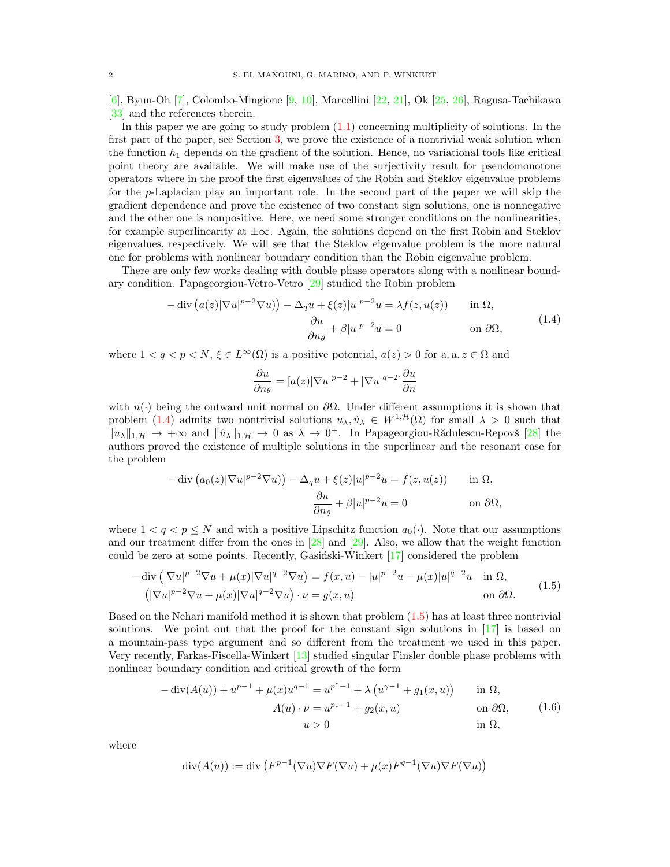[\[6\]](#page-15-3), Byun-Oh [\[7\]](#page-15-4), Colombo-Mingione [\[9,](#page-15-5) [10\]](#page-15-6), Marcellini [\[22,](#page-15-7) [21\]](#page-15-8), Ok [\[25,](#page-15-9) [26\]](#page-15-10), Ragusa-Tachikawa [\[33\]](#page-15-11) and the references therein.

In this paper we are going to study problem [\(1.1\)](#page-0-0) concerning multiplicity of solutions. In the first part of the paper, see Section [3,](#page-5-0) we prove the existence of a nontrivial weak solution when the function  $h_1$  depends on the gradient of the solution. Hence, no variational tools like critical point theory are available. We will make use of the surjectivity result for pseudomonotone operators where in the proof the first eigenvalues of the Robin and Steklov eigenvalue problems for the p-Laplacian play an important role. In the second part of the paper we will skip the gradient dependence and prove the existence of two constant sign solutions, one is nonnegative and the other one is nonpositive. Here, we need some stronger conditions on the nonlinearities, for example superlinearity at ±∞. Again, the solutions depend on the first Robin and Steklov eigenvalues, respectively. We will see that the Steklov eigenvalue problem is the more natural one for problems with nonlinear boundary condition than the Robin eigenvalue problem.

There are only few works dealing with double phase operators along with a nonlinear boundary condition. Papageorgiou-Vetro-Vetro [\[29\]](#page-15-12) studied the Robin problem

<span id="page-1-0"></span>
$$
-\operatorname{div}\left(a(z)|\nabla u|^{p-2}\nabla u\right) - \Delta_q u + \xi(z)|u|^{p-2}u = \lambda f(z, u(z)) \quad \text{in } \Omega,
$$

$$
\frac{\partial u}{\partial n_\theta} + \beta |u|^{p-2}u = 0 \quad \text{on } \partial \Omega,
$$
(1.4)

where  $1 < q < p < N$ ,  $\xi \in L^{\infty}(\Omega)$  is a positive potential,  $a(z) > 0$  for a. a.  $z \in \Omega$  and

$$
\frac{\partial u}{\partial n_{\theta}} = [a(z)|\nabla u|^{p-2} + |\nabla u|^{q-2}] \frac{\partial u}{\partial n}
$$

with  $n(\cdot)$  being the outward unit normal on  $\partial\Omega$ . Under different assumptions it is shown that problem [\(1.4\)](#page-1-0) admits two nontrivial solutions  $u_\lambda, \hat{u}_\lambda \in W^{1, \mathcal{H}}(\Omega)$  for small  $\lambda > 0$  such that  $||u_\lambda||_{1,\mathcal{H}} \to +\infty$  and  $||\hat{u}_\lambda||_{1,\mathcal{H}} \to 0$  as  $\lambda \to 0^+$ . In Papageorgiou-Rădulescu-Repovš [\[28\]](#page-15-13) the authors proved the existence of multiple solutions in the superlinear and the resonant case for the problem

$$
-\operatorname{div}\left(a_0(z)|\nabla u|^{p-2}\nabla u\right) - \Delta_q u + \xi(z)|u|^{p-2}u = f(z, u(z)) \quad \text{in } \Omega,
$$

$$
\frac{\partial u}{\partial n_\theta} + \beta |u|^{p-2}u = 0 \quad \text{on } \partial \Omega,
$$

where  $1 < q < p \le N$  and with a positive Lipschitz function  $a_0(\cdot)$ . Note that our assumptions and our treatment differ from the ones in  $[28]$  and  $[29]$ . Also, we allow that the weight function could be zero at some points. Recently, Gasiński-Winkert  $[17]$  considered the problem

<span id="page-1-1"></span>
$$
-\operatorname{div}\left(|\nabla u|^{p-2}\nabla u + \mu(x)|\nabla u|^{q-2}\nabla u\right) = f(x,u) - |u|^{p-2}u - \mu(x)|u|^{q-2}u \quad \text{in } \Omega,
$$
  

$$
\left(|\nabla u|^{p-2}\nabla u + \mu(x)|\nabla u|^{q-2}\nabla u\right) \cdot \nu = g(x,u) \qquad \text{on } \partial\Omega.
$$
 (1.5)

Based on the Nehari manifold method it is shown that problem [\(1.5\)](#page-1-1) has at least three nontrivial solutions. We point out that the proof for the constant sign solutions in  $[17]$  is based on a mountain-pass type argument and so different from the treatment we used in this paper. Very recently, Farkas-Fiscella-Winkert [\[13\]](#page-15-15) studied singular Finsler double phase problems with nonlinear boundary condition and critical growth of the form

<span id="page-1-2"></span>
$$
-\operatorname{div}(A(u)) + u^{p-1} + \mu(x)u^{q-1} = u^{p^* - 1} + \lambda(u^{\gamma - 1} + g_1(x, u)) \quad \text{in } \Omega,
$$
  
\n
$$
A(u) \cdot \nu = u^{p_* - 1} + g_2(x, u) \quad \text{on } \partial\Omega,
$$
  
\n
$$
u > 0 \quad \text{in } \Omega,
$$
  
\n(1.6)

where

$$
\operatorname{div}(A(u)) := \operatorname{div}(F^{p-1}(\nabla u)\nabla F(\nabla u) + \mu(x)F^{q-1}(\nabla u)\nabla F(\nabla u))
$$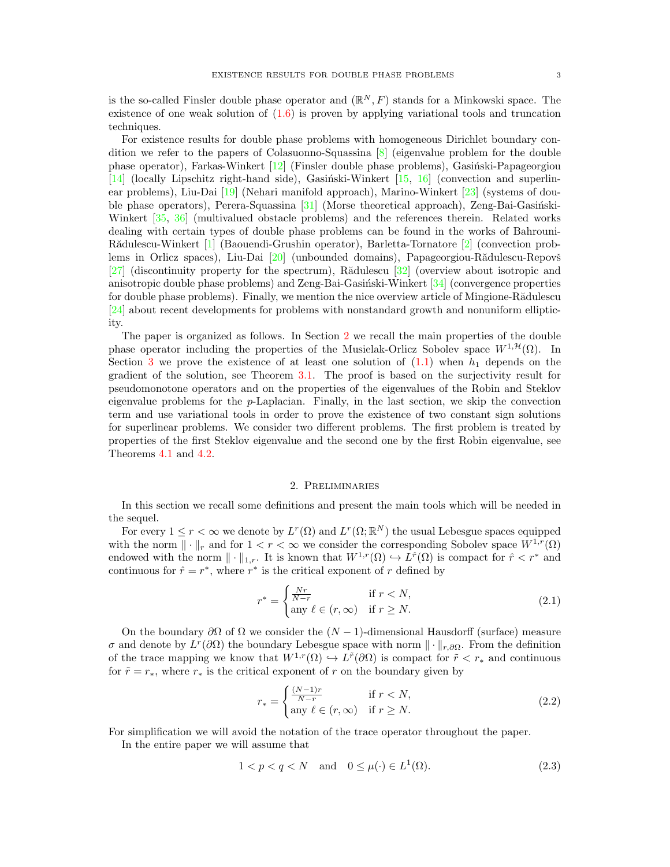is the so-called Finsler double phase operator and  $(\mathbb{R}^N, F)$  stands for a Minkowski space. The existence of one weak solution of  $(1.6)$  is proven by applying variational tools and truncation techniques.

For existence results for double phase problems with homogeneous Dirichlet boundary condition we refer to the papers of Colasuonno-Squassina [\[8\]](#page-15-16) (eigenvalue problem for the double phase operator), Farkas-Winkert  $[12]$  (Finsler double phase problems), Gasiński-Papageorgiou  $[14]$  (locally Lipschitz right-hand side), Gasiński-Winkert  $[15, 16]$  $[15, 16]$  (convection and superlinear problems), Liu-Dai [\[19\]](#page-15-21) (Nehari manifold approach), Marino-Winkert [\[23\]](#page-15-22) (systems of double phase operators), Perera-Squassina  $[31]$  (Morse theoretical approach), Zeng-Bai-Gasiński-Winkert [\[35,](#page-16-2) [36\]](#page-16-3) (multivalued obstacle problems) and the references therein. Related works dealing with certain types of double phase problems can be found in the works of Bahrouni-Rădulescu-Winkert [\[1\]](#page-14-0) (Baouendi-Grushin operator), Barletta-Tornatore [\[2\]](#page-14-1) (convection prob-lems in Orlicz spaces), Liu-Dai [\[20\]](#page-15-24) (unbounded domains), Papageorgiou-Rădulescu-Repovš [\[27\]](#page-15-25) (discontinuity property for the spectrum), Rădulescu [\[32\]](#page-15-26) (overview about isotropic and anisotropic double phase problems) and Zeng-Bai-Gasiński-Winkert  $[34]$  (convergence properties for double phase problems). Finally, we mention the nice overview article of Mingione-Rădulescu [\[24\]](#page-15-27) about recent developments for problems with nonstandard growth and nonuniform ellipticity.

The paper is organized as follows. In Section [2](#page-2-0) we recall the main properties of the double phase operator including the properties of the Musielak-Orlicz Sobolev space  $W^{1, \mathcal{H}}(\Omega)$ . In Section [3](#page-5-0) we prove the existence of at least one solution of  $(1.1)$  when  $h_1$  depends on the gradient of the solution, see Theorem [3.1.](#page-6-0) The proof is based on the surjectivity result for pseudomonotone operators and on the properties of the eigenvalues of the Robin and Steklov eigenvalue problems for the p-Laplacian. Finally, in the last section, we skip the convection term and use variational tools in order to prove the existence of two constant sign solutions for superlinear problems. We consider two different problems. The first problem is treated by properties of the first Steklov eigenvalue and the second one by the first Robin eigenvalue, see Theorems [4.1](#page-9-0) and [4.2.](#page-12-0)

#### <span id="page-2-2"></span>2. Preliminaries

<span id="page-2-0"></span>In this section we recall some definitions and present the main tools which will be needed in the sequel.

For every  $1 \leq r < \infty$  we denote by  $L^r(\Omega)$  and  $L^r(\Omega;\mathbb{R}^N)$  the usual Lebesgue spaces equipped with the norm  $\|\cdot\|_r$  and for  $1 < r < \infty$  we consider the corresponding Sobolev space  $W^{1,r}(\Omega)$ endowed with the norm  $\|\cdot\|_{1,r}$ . It is known that  $W^{1,r}(\Omega) \hookrightarrow L^{\hat{r}}(\Omega)$  is compact for  $\hat{r} < r^*$  and continuous for  $\hat{r} = r^*$ , where  $r^*$  is the critical exponent of r defined by

$$
r^* = \begin{cases} \frac{Nr}{N-r} & \text{if } r < N, \\ \text{any } \ell \in (r, \infty) & \text{if } r \ge N. \end{cases} \tag{2.1}
$$

On the boundary  $\partial\Omega$  of  $\Omega$  we consider the  $(N-1)$ -dimensional Hausdorff (surface) measure σ and denote by  $L^r(\partial\Omega)$  the boundary Lebesgue space with norm  $\|\cdot\|_{r,\partial\Omega}$ . From the definition of the trace mapping we know that  $W^{1,r}(\Omega) \hookrightarrow L^{\tilde{r}}(\partial \Omega)$  is compact for  $\tilde{r} < r_*$  and continuous for  $\tilde{r} = r_*$ , where  $r_*$  is the critical exponent of r on the boundary given by

<span id="page-2-3"></span><span id="page-2-1"></span>
$$
r_* = \begin{cases} \frac{(N-1)r}{N-r} & \text{if } r < N, \\ \text{any } \ell \in (r, \infty) & \text{if } r \ge N. \end{cases} \tag{2.2}
$$

For simplification we will avoid the notation of the trace operator throughout the paper.

In the entire paper we will assume that

$$
1 < p < q < N \quad \text{and} \quad 0 \le \mu(\cdot) \in L^1(\Omega). \tag{2.3}
$$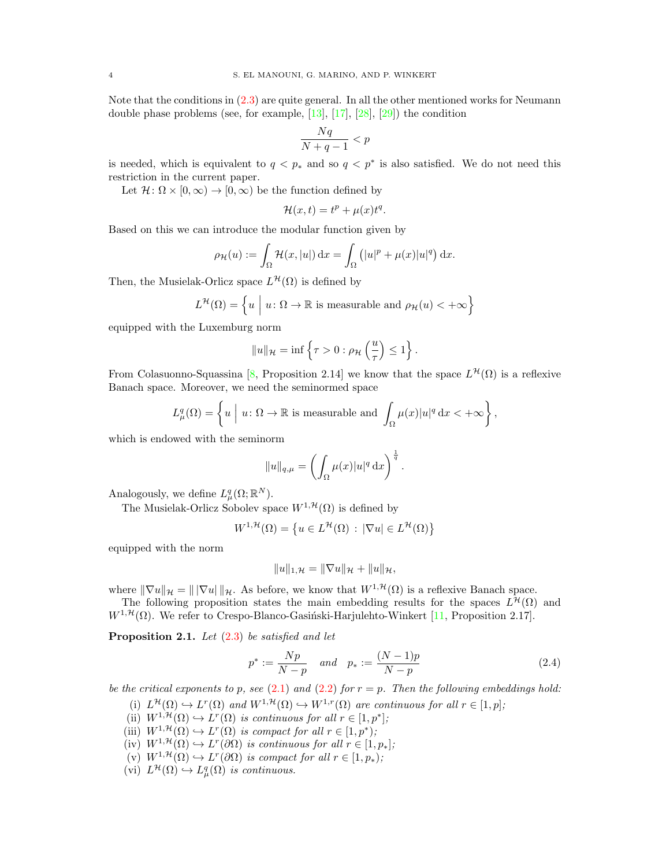Note that the conditions in [\(2.3\)](#page-2-1) are quite general. In all the other mentioned works for Neumann double phase problems (see, for example, [\[13\]](#page-15-15), [\[17\]](#page-15-14), [\[28\]](#page-15-13), [\[29\]](#page-15-12)) the condition

$$
\frac{Nq}{N+q-1} < p
$$

is needed, which is equivalent to  $q < p^*$  and so  $q < p^*$  is also satisfied. We do not need this restriction in the current paper.

Let  $\mathcal{H} \colon \Omega \times [0,\infty) \to [0,\infty)$  be the function defined by

$$
\mathcal{H}(x,t) = t^p + \mu(x)t^q.
$$

Based on this we can introduce the modular function given by

$$
\rho_{\mathcal{H}}(u) := \int_{\Omega} \mathcal{H}(x, |u|) dx = \int_{\Omega} (|u|^p + \mu(x)|u|^q) dx.
$$

Then, the Musielak-Orlicz space  $L^{\mathcal{H}}(\Omega)$  is defined by

$$
L^{\mathcal{H}}(\Omega) = \left\{ u \mid u \colon \Omega \to \mathbb{R} \text{ is measurable and } \rho_{\mathcal{H}}(u) < +\infty \right\}
$$

equipped with the Luxemburg norm

$$
||u||_{\mathcal{H}} = \inf \left\{ \tau > 0 : \rho_{\mathcal{H}} \left( \frac{u}{\tau} \right) \leq 1 \right\}.
$$

From Colasuonno-Squassina [\[8,](#page-15-16) Proposition 2.14] we know that the space  $L^{\mathcal{H}}(\Omega)$  is a reflexive Banach space. Moreover, we need the seminormed space

$$
L^q_\mu(\Omega) = \left\{ u \mid u \colon \Omega \to \mathbb{R} \text{ is measurable and } \int_{\Omega} \mu(x) |u|^q \, \mathrm{d}x < +\infty \right\},
$$

which is endowed with the seminorm

$$
||u||_{q,\mu} = \left(\int_{\Omega} \mu(x)|u|^q \,dx\right)^{\frac{1}{q}}
$$

Analogously, we define  $L^q_\mu(\Omega;\mathbb{R}^N)$ .

The Musielak-Orlicz Sobolev space  $W^{1, \mathcal{H}}(\Omega)$  is defined by

$$
W^{1,\mathcal{H}}(\Omega) = \left\{ u \in L^{\mathcal{H}}(\Omega) : |\nabla u| \in L^{\mathcal{H}}(\Omega) \right\}
$$

equipped with the norm

$$
||u||_{1,\mathcal{H}} = ||\nabla u||_{\mathcal{H}} + ||u||_{\mathcal{H}},
$$

where  $\|\nabla u\|_{\mathcal{H}} = \|\nabla u\|_{\mathcal{H}}$ . As before, we know that  $W^{1,\mathcal{H}}(\Omega)$  is a reflexive Banach space.

The following proposition states the main embedding results for the spaces  $L^{\mathcal{H}}(\Omega)$  and  $W^{1, \mathcal{H}}(\Omega)$ . We refer to Crespo-Blanco-Gasiński-Harjulehto-Winkert [\[11,](#page-15-28) Proposition 2.17].

<span id="page-3-1"></span>**Proposition 2.1.** Let  $(2.3)$  be satisfied and let

$$
p^* := \frac{Np}{N-p} \quad and \quad p_* := \frac{(N-1)p}{N-p} \tag{2.4}
$$

<span id="page-3-0"></span>.

be the critical exponents to p, see  $(2.1)$  and  $(2.2)$  for  $r = p$ . Then the following embeddings hold:

- (i)  $L^{\mathcal{H}}(\Omega) \hookrightarrow L^{r}(\Omega)$  and  $W^{1,\mathcal{H}}(\Omega) \hookrightarrow W^{1,r}(\Omega)$  are continuous for all  $r \in [1,p]$ ;
- (ii)  $W^{1,\mathcal{H}}(\Omega) \hookrightarrow L^r(\Omega)$  is continuous for all  $r \in [1,p^*];$
- (iii)  $W^{1,\mathcal{H}}(\Omega) \hookrightarrow L^r(\Omega)$  is compact for all  $r \in [1,p^*);$
- (iv)  $W^{1,\mathcal{H}}(\Omega) \hookrightarrow L^r(\partial \Omega)$  is continuous for all  $r \in [1,p_*];$
- (v)  $W^{1,\mathcal{H}}(\Omega) \hookrightarrow L^r(\partial \Omega)$  is compact for all  $r \in [1, p_*)$ ;
- (vi)  $L^{\mathcal{H}}(\Omega) \hookrightarrow L_{\mu}^{q}(\Omega)$  is continuous.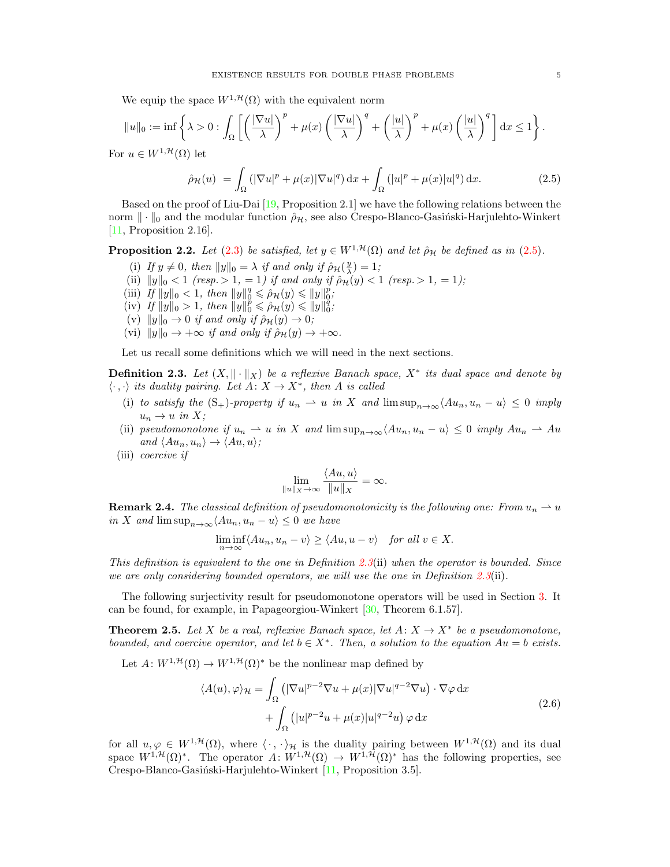We equip the space  $W^{1,\mathcal{H}}(\Omega)$  with the equivalent norm

$$
||u||_0 := \inf \left\{ \lambda > 0 : \int_{\Omega} \left[ \left( \frac{|\nabla u|}{\lambda} \right)^p + \mu(x) \left( \frac{|\nabla u|}{\lambda} \right)^q + \left( \frac{|u|}{\lambda} \right)^p + \mu(x) \left( \frac{|u|}{\lambda} \right)^q \right] dx \le 1 \right\}.
$$

For  $u \in W^{1, \mathcal{H}}(\Omega)$  let

<span id="page-4-0"></span>
$$
\hat{\rho}_{\mathcal{H}}(u) = \int_{\Omega} \left( |\nabla u|^p + \mu(x) |\nabla u|^q \right) dx + \int_{\Omega} \left( |u|^p + \mu(x) |u|^q \right) dx. \tag{2.5}
$$

Based on the proof of Liu-Dai [\[19,](#page-15-21) Proposition 2.1] we have the following relations between the norm  $\|\cdot\|_0$  and the modular function  $\rho_{\mathcal{H}}$ , see also Crespo-Blanco-Gasiński-Harjulehto-Winkert [\[11,](#page-15-28) Proposition 2.16].

<span id="page-4-3"></span>**Proposition 2.2.** Let [\(2.3\)](#page-2-1) be satisfied, let  $y \in W^{1, \mathcal{H}}(\Omega)$  and let  $\hat{\rho}_{\mathcal{H}}$  be defined as in [\(2.5\)](#page-4-0).

- (i) If  $y \neq 0$ , then  $||y||_0 = \lambda$  if and only if  $\hat{\rho}_H(\frac{y}{\lambda}) = 1$ ;
- (ii)  $||y||_0 < 1$  (resp.  $> 1, = 1$ ) if and only if  $\hat{p}_{\mathcal{H}}(y) < 1$  (resp.  $> 1, = 1$ );
- (iii) If  $||y||_0 < 1$ , then  $||y||_0^q \le \rho_H(y) \le ||y||_0^p$ ,
- (iv) If  $||y||_0 > 1$ , then  $||y||_0^p \le \hat{\rho}_H(y) \le ||y||_0^q$ ;
- (v)  $||y||_0 \rightarrow 0$  if and only if  $\hat{\rho}_H(y) \rightarrow 0$ ;
- (vi)  $||y||_0 \rightarrow +\infty$  if and only if  $\hat{\rho}_H(y) \rightarrow +\infty$ .

Let us recall some definitions which we will need in the next sections.

<span id="page-4-1"></span>**Definition 2.3.** Let  $(X, \|\cdot\|_X)$  be a reflexive Banach space,  $X^*$  its dual space and denote by  $\langle \cdot \, , \cdot \rangle$  its duality pairing. Let  $A: X \to X^*$ , then A is called

- (i) to satisfy the  $(S_+)$ -property if  $u_n \rightharpoonup u$  in X and  $\limsup_{n\to\infty}$   $\langle Au_n, u_n u \rangle \leq 0$  imply  $u_n \to u$  in X;
- (ii) pseudomonotone if  $u_n \rightharpoonup u$  in X and  $\limsup_{n\to\infty} \langle Au_n, u_n u \rangle \leq 0$  imply  $Au_n \rightharpoonup Au$ and  $\langle Au_n, u_n \rangle \rightarrow \langle Au, u \rangle$ ;
- (iii) coercive if

<span id="page-4-2"></span>
$$
\lim_{\|u\|_X\to\infty}\frac{\langle Au, u\rangle}{\|u\|_X}=\infty.
$$

**Remark 2.4.** The classical definition of pseudomonotonicity is the following one: From  $u_n \rightharpoonup u$ in X and  $\limsup_{n\to\infty}\langle Au_n, u_n-u\rangle \leq 0$  we have

$$
\liminf_{n \to \infty} \langle Au_n, u_n - v \rangle \ge \langle Au, u - v \rangle \quad \text{for all } v \in X.
$$

This definition is equivalent to the one in Definition [2.3](#page-4-1)(ii) when the operator is bounded. Since we are only considering bounded operators, we will use the one in Definition [2.3](#page-4-1)(ii).

The following surjectivity result for pseudomonotone operators will be used in Section [3.](#page-5-0) It can be found, for example, in Papageorgiou-Winkert [\[30,](#page-15-29) Theorem 6.1.57].

<span id="page-4-4"></span>**Theorem 2.5.** Let X be a real, reflexive Banach space, let  $A: X \to X^*$  be a pseudomonotone, bounded, and coercive operator, and let  $b \in X^*$ . Then, a solution to the equation  $Au = b$  exists.

Let  $A: W^{1, \mathcal{H}}(\Omega) \to W^{1, \mathcal{H}}(\Omega)^*$  be the nonlinear map defined by

$$
\langle A(u), \varphi \rangle_{\mathcal{H}} = \int_{\Omega} \left( |\nabla u|^{p-2} \nabla u + \mu(x) |\nabla u|^{q-2} \nabla u \right) \cdot \nabla \varphi \, dx + \int_{\Omega} \left( |u|^{p-2} u + \mu(x) |u|^{q-2} u \right) \varphi \, dx
$$
\n(2.6)

for all  $u, \varphi \in W^{1, \mathcal{H}}(\Omega)$ , where  $\langle \cdot, \cdot \rangle_{\mathcal{H}}$  is the duality pairing between  $W^{1, \mathcal{H}}(\Omega)$  and its dual space  $W^{1,\mathcal{H}}(\Omega)^*$ . The operator  $A: W^{1,\mathcal{H}}(\Omega) \to W^{1,\mathcal{H}}(\Omega)^*$  has the following properties, see Crespo-Blanco-Gasiński-Harjulehto-Winkert [\[11,](#page-15-28) Proposition 3.5].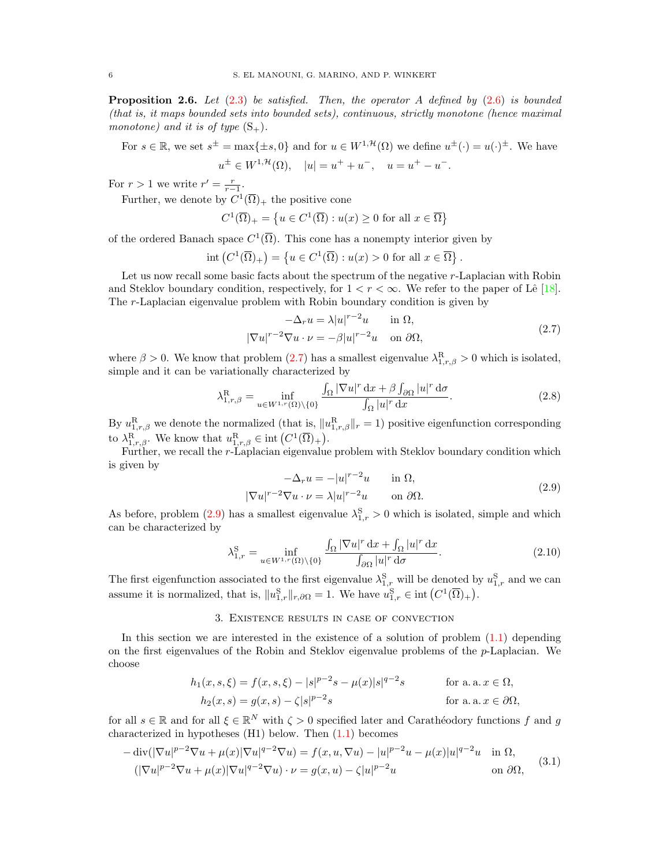<span id="page-5-4"></span>**Proposition 2.6.** Let  $(2.3)$  be satisfied. Then, the operator A defined by  $(2.6)$  is bounded (that is, it maps bounded sets into bounded sets), continuous, strictly monotone (hence maximal monotone) and it is of type  $(S_+)$ .

For 
$$
s \in \mathbb{R}
$$
, we set  $s^{\pm} = \max\{\pm s, 0\}$  and for  $u \in W^{1, \mathcal{H}}(\Omega)$  we define  $u^{\pm}(\cdot) = u(\cdot)^{\pm}$ . We have  $u^{\pm} \in W^{1, \mathcal{H}}(\Omega)$ ,  $|u| = u^+ + u^-, \quad u = u^+ - u^-.$ 

For  $r > 1$  we write  $r' = \frac{r}{r-1}$ .

Further, we denote by  $C^1(\overline{\Omega})_+$  the positive cone

$$
C^{1}(\overline{\Omega})_{+} = \left\{ u \in C^{1}(\overline{\Omega}) : u(x) \ge 0 \text{ for all } x \in \overline{\Omega} \right\}
$$

of the ordered Banach space  $C^1(\overline{\Omega})$ . This cone has a nonempty interior given by

$$
int (C^{1}(\overline{\Omega})_{+}) = \left\{ u \in C^{1}(\overline{\Omega}) : u(x) > 0 \text{ for all } x \in \overline{\Omega} \right\}.
$$

Let us now recall some basic facts about the spectrum of the negative r-Laplacian with Robin and Steklov boundary condition, respectively, for  $1 < r < \infty$ . We refer to the paper of Lê [\[18\]](#page-15-30). The r-Laplacian eigenvalue problem with Robin boundary condition is given by

<span id="page-5-1"></span>
$$
-\Delta_r u = \lambda |u|^{r-2}u \quad \text{in } \Omega,
$$
  

$$
|\nabla u|^{r-2} \nabla u \cdot \nu = -\beta |u|^{r-2}u \quad \text{on } \partial\Omega,
$$
 (2.7)

where  $\beta > 0$ . We know that problem [\(2.7\)](#page-5-1) has a smallest eigenvalue  $\lambda_{1,r,\beta}^R > 0$  which is isolated, simple and it can be variationally characterized by

$$
\lambda_{1,r,\beta}^{\mathrm{R}} = \inf_{u \in W^{1,r}(\Omega) \backslash \{0\}} \frac{\int_{\Omega} |\nabla u|^r \, \mathrm{d}x + \beta \int_{\partial \Omega} |u|^r \, \mathrm{d}\sigma}{\int_{\Omega} |u|^r \, \mathrm{d}x}.
$$

<span id="page-5-5"></span>By  $u_{1,r,\beta}^{R}$  we denote the normalized (that is,  $||u_{1,r,\beta}^{R}||_r = 1$ ) positive eigenfunction corresponding to  $\lambda_{1,r,\beta}^{\mathcal{R}}$ . We know that  $u_{1,r,\beta}^{\mathcal{R}} \in \text{int}\left(C^1(\overline{\Omega})+\right)$ .

Further, we recall the r-Laplacian eigenvalue problem with Steklov boundary condition which is given by

<span id="page-5-2"></span>
$$
-\Delta_r u = -|u|^{r-2}u \quad \text{in } \Omega,
$$
  

$$
|\nabla u|^{r-2} \nabla u \cdot \nu = \lambda |u|^{r-2}u \quad \text{on } \partial \Omega.
$$
 (2.9)

As before, problem [\(2.9\)](#page-5-2) has a smallest eigenvalue  $\lambda_{1,r}^{S} > 0$  which is isolated, simple and which can be characterized by

$$
\lambda_{1,r}^{\mathcal{S}} = \inf_{u \in W^{1,r}(\Omega) \setminus \{0\}} \frac{\int_{\Omega} |\nabla u|^r \, \mathrm{d}x + \int_{\Omega} |u|^r \, \mathrm{d}x}{\int_{\partial \Omega} |u|^r \, \mathrm{d}\sigma}.
$$
\n(2.10)

<span id="page-5-6"></span>The first eigenfunction associated to the first eigenvalue  $\lambda_{1,r}^S$  will be denoted by  $u_{1,r}^S$  and we can assume it is normalized, that is,  $||u_{1,r}^{S}||_{r,\partial\Omega} = 1$ . We have  $u_{1,r}^{S} \in \text{int} (C^{1}(\overline{\Omega})_{+}).$ 

# 3. Existence results in case of convection

<span id="page-5-0"></span>In this section we are interested in the existence of a solution of problem [\(1.1\)](#page-0-0) depending on the first eigenvalues of the Robin and Steklov eigenvalue problems of the p-Laplacian. We choose

$$
h_1(x, s, \xi) = f(x, s, \xi) - |s|^{p-2} s - \mu(x)|s|^{q-2} s \qquad \text{for a. a. } x \in \Omega,
$$
  
\n
$$
h_2(x, s) = g(x, s) - \zeta|s|^{p-2} s \qquad \text{for a. a. } x \in \partial\Omega,
$$

for all  $s \in \mathbb{R}$  and for all  $\xi \in \mathbb{R}^N$  with  $\zeta > 0$  specified later and Carathéodory functions f and g characterized in hypotheses (H1) below. Then [\(1.1\)](#page-0-0) becomes

<span id="page-5-3"></span>
$$
-\operatorname{div}(|\nabla u|^{p-2}\nabla u + \mu(x)|\nabla u|^{q-2}\nabla u) = f(x, u, \nabla u) - |u|^{p-2}u - \mu(x)|u|^{q-2}u \quad \text{in } \Omega,
$$
  

$$
(|\nabla u|^{p-2}\nabla u + \mu(x)|\nabla u|^{q-2}\nabla u) \cdot \nu = g(x, u) - \zeta|u|^{p-2}u \quad \text{on } \partial\Omega,
$$
 (3.1)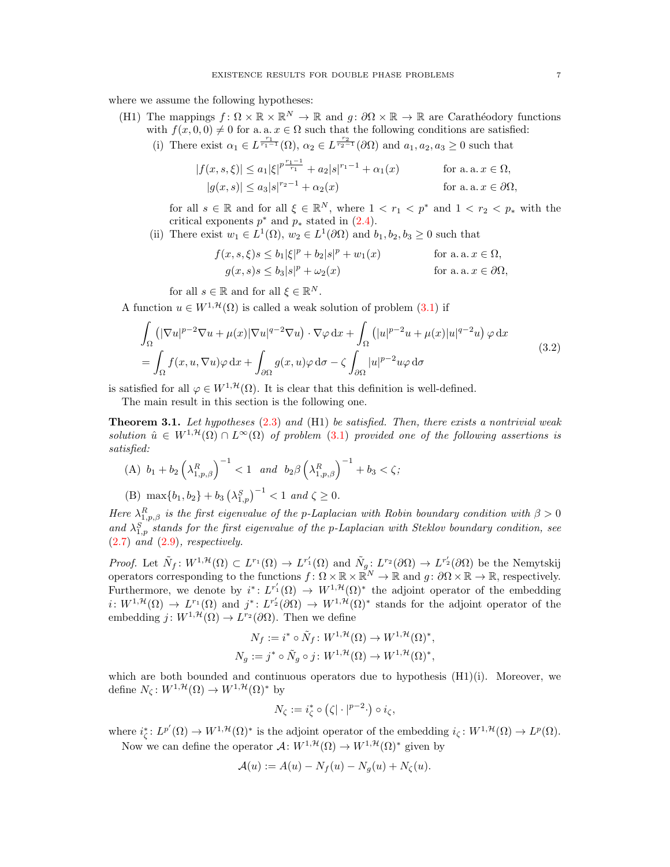where we assume the following hypotheses:

- (H1) The mappings  $f: \Omega \times \mathbb{R} \times \mathbb{R}^N \to \mathbb{R}$  and  $g: \partial \Omega \times \mathbb{R} \to \mathbb{R}$  are Carathéodory functions with  $f(x, 0, 0) \neq 0$  for a. a.  $x \in \Omega$  such that the following conditions are satisfied:
	- (i) There exist  $\alpha_1 \in L^{\frac{r_1}{r_1-1}}(\Omega)$ ,  $\alpha_2 \in L^{\frac{r_2}{r_2-1}}(\partial \Omega)$  and  $a_1, a_2, a_3 \geq 0$  such that

$$
|f(x, s, \xi)| \le a_1 |\xi|^{p \frac{r_1 - 1}{r_1}} + a_2 |s|^{r_1 - 1} + \alpha_1(x)
$$
 for a. a.  $x \in \Omega$ ,  

$$
|g(x, s)| \le a_3 |s|^{r_2 - 1} + \alpha_2(x)
$$
 for a. a.  $x \in \partial\Omega$ ,

for all  $s \in \mathbb{R}$  and for all  $\xi \in \mathbb{R}^N$ , where  $1 < r_1 < p^*$  and  $1 < r_2 < p_*$  with the critical exponents  $p^*$  and  $p_*$  stated in  $(2.4)$ .

(ii) There exist  $w_1 \in L^1(\Omega)$ ,  $w_2 \in L^1(\partial \Omega)$  and  $b_1, b_2, b_3 \geq 0$  such that

$$
f(x, s, \xi)s \le b_1|\xi|^p + b_2|s|^p + w_1(x)
$$
 for a. a.  $x \in \Omega$ ,  

$$
g(x, s)s \le b_3|s|^p + \omega_2(x)
$$
 for a. a.  $x \in \partial\Omega$ ,

for all  $s \in \mathbb{R}$  and for all  $\xi \in \mathbb{R}^N$ .

A function  $u \in W^{1,\mathcal{H}}(\Omega)$  is called a weak solution of problem  $(3.1)$  if

<span id="page-6-1"></span>
$$
\int_{\Omega} \left( |\nabla u|^{p-2} \nabla u + \mu(x) |\nabla u|^{q-2} \nabla u \right) \cdot \nabla \varphi \, dx + \int_{\Omega} \left( |u|^{p-2} u + \mu(x) |u|^{q-2} u \right) \varphi \, dx
$$
\n
$$
= \int_{\Omega} f(x, u, \nabla u) \varphi \, dx + \int_{\partial \Omega} g(x, u) \varphi \, d\sigma - \zeta \int_{\partial \Omega} |u|^{p-2} u \varphi \, d\sigma \tag{3.2}
$$

is satisfied for all  $\varphi \in W^{1, \mathcal{H}}(\Omega)$ . It is clear that this definition is well-defined.

The main result in this section is the following one.

<span id="page-6-0"></span>**Theorem 3.1.** Let hypotheses  $(2.3)$  and  $(H1)$  be satisfied. Then, there exists a nontrivial weak solution  $\hat{u} \in W^{1, \mathcal{H}}(\Omega) \cap L^{\infty}(\Omega)$  of problem [\(3.1\)](#page-5-3) provided one of the following assertions is satisfied:

(A) 
$$
b_1 + b_2 \left(\lambda_{1,p,\beta}^R\right)^{-1} < 1
$$
 and  $b_2 \beta \left(\lambda_{1,p,\beta}^R\right)^{-1} + b_3 < \zeta$ ;

(B) 
$$
\max\{b_1, b_2\} + b_3 \left(\lambda_{1,p}^S\right)^{-1} < 1
$$
 and  $\zeta \ge 0$ .

Here  $\lambda_{1,p,\beta}^R$  is the first eigenvalue of the p-Laplacian with Robin boundary condition with  $\beta > 0$ and  $\lambda_{1,p}^{S}$  stands for the first eigenvalue of the p-Laplacian with Steklov boundary condition, see  $(2.7)$  and  $(2.9)$ , respectively.

*Proof.* Let  $\tilde{N}_f: W^{1,\mathcal{H}}(\Omega) \subset L^{r_1}(\Omega) \to L^{r'_1}(\Omega)$  and  $\tilde{N}_g: L^{r_2}(\partial \Omega) \to L^{r'_2}(\partial \Omega)$  be the Nemytskij operators corresponding to the functions  $f: \Omega \times \mathbb{R} \times \mathbb{R}^N \to \mathbb{R}$  and  $g: \partial \Omega \times \mathbb{R} \to \mathbb{R}$ , respectively. Furthermore, we denote by  $i^*: L^{r'_1}(\Omega) \to W^{1,\mathcal{H}}(\Omega)^*$  the adjoint operator of the embedding  $i: W^{1,\mathcal{H}}(\Omega) \to L^{r_1}(\Omega)$  and  $j^*: L^{r_2}(\partial \Omega) \to W^{1,\mathcal{H}}(\Omega)^*$  stands for the adjoint operator of the embedding  $j: W^{1,\mathcal{H}}(\Omega) \to L^{r_2}(\partial \Omega)$ . Then we define

$$
N_f := i^* \circ \tilde{N}_f \colon W^{1, \mathcal{H}}(\Omega) \to W^{1, \mathcal{H}}(\Omega)^*,
$$
  

$$
N_g := j^* \circ \tilde{N}_g \circ j \colon W^{1, \mathcal{H}}(\Omega) \to W^{1, \mathcal{H}}(\Omega)^*,
$$

which are both bounded and continuous operators due to hypothesis  $(H1)(i)$ . Moreover, we define  $N_c: W^{1, \mathcal{H}}(\Omega) \to W^{1, \mathcal{H}}(\Omega)^*$  by

$$
N_{\zeta}:=i_{\zeta}^*\circ\left(\zeta|\cdot|^{p-2}\cdot\right)\circ i_{\zeta},
$$

where  $i_{\zeta}^* : L^{p'}(\Omega) \to W^{1,\mathcal{H}}(\Omega)^*$  is the adjoint operator of the embedding  $i_{\zeta} : W^{1,\mathcal{H}}(\Omega) \to L^p(\Omega)$ .

Now we can define the operator  $\mathcal{A}: W^{1, \mathcal{H}}(\Omega) \to W^{1, \mathcal{H}}(\Omega)^*$  given by

$$
\mathcal{A}(u) := A(u) - N_f(u) - N_g(u) + N_\zeta(u).
$$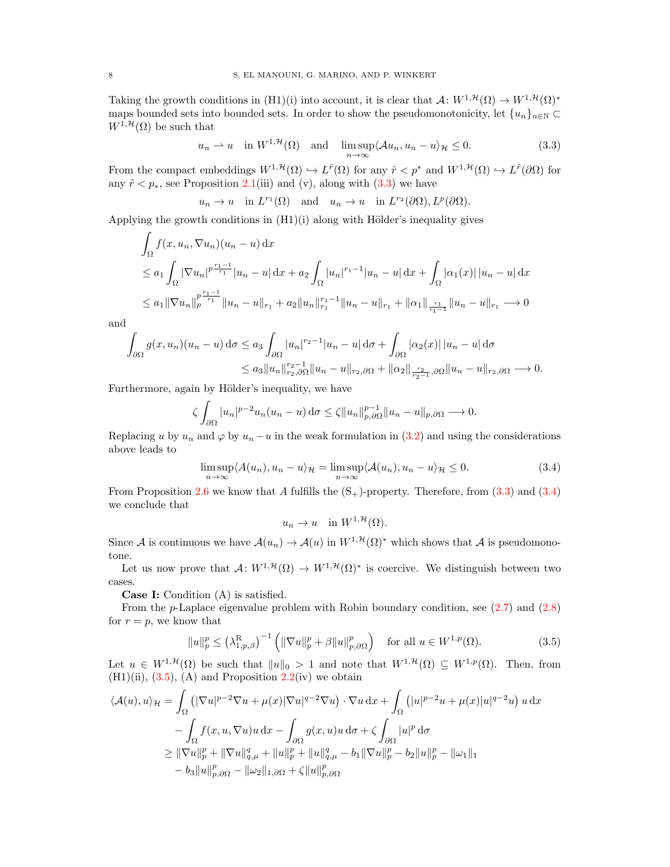Taking the growth conditions in (H1)(i) into account, it is clear that  $\mathcal{A}: W^{1,\mathcal{H}}(\Omega) \to W^{1,\mathcal{H}}(\Omega)^*$ maps bounded sets into bounded sets. In order to show the pseudomonotonicity, let  $\{u_n\}_{n\in\mathbb{N}}\subset$  $W^{1,\mathcal{H}}(\Omega)$  be such that

<span id="page-7-0"></span>
$$
u_n \rightharpoonup u
$$
 in  $W^{1,\mathcal{H}}(\Omega)$  and  $\limsup_{n \to \infty} \langle Au_n, u_n - u \rangle_{\mathcal{H}} \leq 0.$  (3.3)

From the compact embeddings  $W^{1,\mathcal{H}}(\Omega) \hookrightarrow L^{\hat{r}}(\Omega)$  for any  $\hat{r} < p^*$  and  $W^{1,\mathcal{H}}(\Omega) \hookrightarrow L^{\tilde{r}}(\partial \Omega)$  for any  $\tilde{r} < p_*$ , see Proposition [2.1\(](#page-3-1)iii) and (v), along with [\(3.3\)](#page-7-0) we have

$$
u_n \to u
$$
 in  $L^{r_1}(\Omega)$  and  $u_n \to u$  in  $L^{r_2}(\partial\Omega), L^p(\partial\Omega)$ .

Applying the growth conditions in  $(H1)(i)$  along with Hölder's inequality gives

$$
\int_{\Omega} f(x, u_n, \nabla u_n)(u_n - u) dx
$$
\n
$$
\leq a_1 \int_{\Omega} |\nabla u_n|^{p} \frac{r_1 - 1}{r_1} |u_n - u| dx + a_2 \int_{\Omega} |u_n|^{r_1 - 1} |u_n - u| dx + \int_{\Omega} |\alpha_1(x)| |u_n - u| dx
$$
\n
$$
\leq a_1 ||\nabla u_n||_p^{\frac{r_1 - 1}{r_1}} ||u_n - u||_{r_1} + a_2 ||u_n||_{r_1}^{r_1 - 1} ||u_n - u||_{r_1} + ||\alpha_1|| \frac{r_1}{r_1 - 1} ||u_n - u||_{r_1} \longrightarrow 0
$$

and

$$
\int_{\partial\Omega} g(x, u_n)(u_n - u) d\sigma \le a_3 \int_{\partial\Omega} |u_n|^{r_2 - 1} |u_n - u| d\sigma + \int_{\partial\Omega} |\alpha_2(x)| |u_n - u| d\sigma \le a_3 \|u_n\|_{r_2, \partial\Omega}^{r_2 - 1} \|u_n - u\|_{r_2, \partial\Omega} + \|\alpha_2\|_{\frac{r_2}{r_2 - 1}, \partial\Omega} \|u_n - u\|_{r_2, \partial\Omega} \longrightarrow 0.
$$

Furthermore, again by Hölder's inequality, we have

$$
\zeta \int_{\partial \Omega} |u_n|^{p-2} u_n(u_n-u) d\sigma \leq \zeta \|u_n\|_{p,\partial \Omega}^{p-1} \|u_n-u\|_{p,\partial \Omega} \longrightarrow 0.
$$

Replacing u by  $u_n$  and  $\varphi$  by  $u_n - u$  in the weak formulation in [\(3.2\)](#page-6-1) and using the considerations above leads to

$$
\limsup_{n \to \infty} \langle A(u_n), u_n - u \rangle_{\mathcal{H}} = \limsup_{n \to \infty} \langle A(u_n), u_n - u \rangle_{\mathcal{H}} \le 0.
$$
\n(3.4)

From Proposition [2.6](#page-5-4) we know that A fulfills the  $(S_+)$ -property. Therefore, from  $(3.3)$  and  $(3.4)$ we conclude that

<span id="page-7-2"></span><span id="page-7-1"></span> $u_n \to u$  in  $W^{1,\mathcal{H}}(\Omega)$ .

Since A is continuous we have  $\mathcal{A}(u_n) \to \mathcal{A}(u)$  in  $W^{1,\mathcal{H}}(\Omega)^*$  which shows that A is pseudomonotone.

Let us now prove that  $\mathcal{A}: W^{1,\mathcal{H}}(\Omega) \to W^{1,\mathcal{H}}(\Omega)^*$  is coercive. We distinguish between two cases.

Case I: Condition (A) is satisfied.

From the  $p$ -Laplace eigenvalue problem with Robin boundary condition, see  $(2.7)$  and  $(2.8)$ for  $r = p$ , we know that

$$
||u||_p^p \le \left(\lambda_{1,p,\beta}^R\right)^{-1} \left(||\nabla u||_p^p + \beta ||u||_{p,\partial\Omega}^p\right) \quad \text{for all } u \in W^{1,p}(\Omega). \tag{3.5}
$$

Let  $u \in W^{1, \mathcal{H}}(\Omega)$  be such that  $||u||_0 > 1$  and note that  $W^{1, \mathcal{H}}(\Omega) \subseteq W^{1, p}(\Omega)$ . Then, from  $(H1)(ii)$ ,  $(3.5)$ ,  $(A)$  and Proposition [2.2\(](#page-4-3)iv) we obtain

$$
\langle \mathcal{A}(u), u \rangle_{\mathcal{H}} = \int_{\Omega} \left( |\nabla u|^{p-2} \nabla u + \mu(x) |\nabla u|^{q-2} \nabla u \right) \cdot \nabla u \, dx + \int_{\Omega} \left( |u|^{p-2} u + \mu(x) |u|^{q-2} u \right) u \, dx - \int_{\Omega} f(x, u, \nabla u) u \, dx - \int_{\partial \Omega} g(x, u) u \, d\sigma + \zeta \int_{\partial \Omega} |u|^p \, d\sigma \geq \| \nabla u \|_{p}^{p} + \| \nabla u \|_{q, \mu}^{q} + \| u \|_{p}^{p} + \| u \|_{q, \mu}^{q} - b_1 \| \nabla u \|_{p}^{p} - b_2 \| u \|_{p}^{p} - \| \omega_1 \|_{1} - b_3 \| u \|_{p, \partial \Omega}^{p} - \| \omega_2 \|_{1, \partial \Omega} + \zeta \| u \|_{p, \partial \Omega}^{p}
$$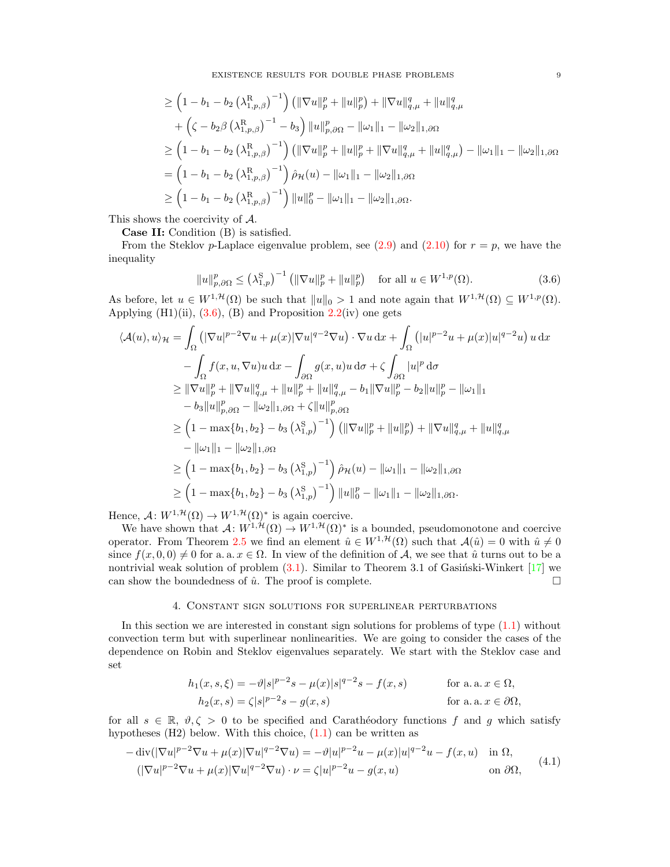EXISTENCE RESULTS FOR DOUBLE PHASE PROBLEMS 9

$$
\geq \left(1-b_1-b_2\left(\lambda_{1,p,\beta}^{\mathrm{R}}\right)^{-1}\right) \left(\|\nabla u\|_p^p + \|u\|_p^p\right) + \|\nabla u\|_{q,\mu}^q + \|u\|_{q,\mu}^q
$$
  
+  $\left(\zeta - b_2\beta \left(\lambda_{1,p,\beta}^{\mathrm{R}}\right)^{-1} - b_3\right) \|u\|_{p,\partial\Omega}^p - \|\omega_1\|_1 - \|\omega_2\|_{1,\partial\Omega}$   

$$
\geq \left(1-b_1-b_2\left(\lambda_{1,p,\beta}^{\mathrm{R}}\right)^{-1}\right) \left(\|\nabla u\|_p^p + \|u\|_p^p + \|\nabla u\|_{q,\mu}^q + \|u\|_{q,\mu}^q\right) - \|\omega_1\|_1 - \|\omega_2\|_{1,\partial\Omega}
$$
  
=  $\left(1-b_1-b_2\left(\lambda_{1,p,\beta}^{\mathrm{R}}\right)^{-1}\right) \hat{\rho}_{\mathcal{H}}(u) - \|\omega_1\|_1 - \|\omega_2\|_{1,\partial\Omega}$   

$$
\geq \left(1-b_1-b_2\left(\lambda_{1,p,\beta}^{\mathrm{R}}\right)^{-1}\right) \|u\|_0^p - \|\omega_1\|_1 - \|\omega_2\|_{1,\partial\Omega}.
$$

This shows the coercivity of A.

Case II: Condition (B) is satisfied.

From the Steklov p-Laplace eigenvalue problem, see  $(2.9)$  and  $(2.10)$  for  $r = p$ , we have the inequality

<span id="page-8-1"></span>
$$
||u||_{p,\partial\Omega}^p \le (\lambda_{1,p}^S)^{-1} \left( \|\nabla u\|_p^p + \|u\|_p^p \right) \quad \text{for all } u \in W^{1,p}(\Omega). \tag{3.6}
$$

As before, let  $u \in W^{1,\mathcal{H}}(\Omega)$  be such that  $||u||_0 > 1$  and note again that  $W^{1,\mathcal{H}}(\Omega) \subseteq W^{1,p}(\Omega)$ . Applying  $(H1)(ii)$ ,  $(3.6)$ ,  $(B)$  and Proposition  $2.2(iv)$  $2.2(iv)$  one gets

$$
\langle A(u), u \rangle_{\mathcal{H}} = \int_{\Omega} \left( |\nabla u|^{p-2} \nabla u + \mu(x) |\nabla u|^{q-2} \nabla u \right) \cdot \nabla u \, dx + \int_{\Omega} \left( |u|^{p-2} u + \mu(x) |u|^{q-2} u \right) u \, dx - \int_{\Omega} f(x, u, \nabla u) u \, dx - \int_{\partial \Omega} g(x, u) u \, d\sigma + \zeta \int_{\partial \Omega} |u|^p \, d\sigma \geq ||\nabla u||_p^p + ||\nabla u||_{q,\mu}^q + ||u||_p^p + ||u||_{q,\mu}^q - b_1 ||\nabla u||_p^p - b_2 ||u||_p^p - ||\omega_1||_1 - b_3 ||u||_{p,\partial \Omega}^p - ||\omega_2||_{1,\partial \Omega} + \zeta ||u||_{p,\partial \Omega}^p
$$
  
\n
$$
\geq \left( 1 - \max\{b_1, b_2\} - b_3 \left( \lambda_{1,p}^S \right)^{-1} \right) \left( ||\nabla u||_p^p + ||u||_p^p \right) + ||\nabla u||_{q,\mu}^q + ||u||_{q,\mu}^q - ||\omega_1||_1 - ||\omega_2||_{1,\partial \Omega} \n\geq \left( 1 - \max\{b_1, b_2\} - b_3 \left( \lambda_{1,p}^S \right)^{-1} \right) \hat{\rho}_{\mathcal{H}}(u) - ||\omega_1||_1 - ||\omega_2||_{1,\partial \Omega} \n\geq \left( 1 - \max\{b_1, b_2\} - b_3 \left( \lambda_{1,p}^S \right)^{-1} \right) ||u||_0^p - ||\omega_1||_1 - ||\omega_2||_{1,\partial \Omega}.
$$

Hence,  $\mathcal{A}: W^{1,\mathcal{H}}(\Omega) \to W^{1,\mathcal{H}}(\Omega)^*$  is again coercive.

We have shown that  $\mathcal{A}: W^{1,\mathcal{H}}(\Omega) \to W^{1,\mathcal{H}}(\Omega)^*$  is a bounded, pseudomonotone and coercive operator. From Theorem [2.5](#page-4-4) we find an element  $\hat{u} \in W^{1,\mathcal{H}}(\Omega)$  such that  $\mathcal{A}(\hat{u})=0$  with  $\hat{u}\neq 0$ since  $f(x, 0, 0) \neq 0$  for a. a.  $x \in \Omega$ . In view of the definition of A, we see that  $\hat{u}$  turns out to be a nontrivial weak solution of problem  $(3.1)$ . Similar to Theorem 3.1 of Gasiński-Winkert [\[17\]](#page-15-14) we can show the boundedness of  $\hat{u}$ . The proof is complete.

#### 4. Constant sign solutions for superlinear perturbations

<span id="page-8-0"></span>In this section we are interested in constant sign solutions for problems of type  $(1.1)$  without convection term but with superlinear nonlinearities. We are going to consider the cases of the dependence on Robin and Steklov eigenvalues separately. We start with the Steklov case and set

$$
h_1(x, s, \xi) = -\vartheta |s|^{p-2} s - \mu(x) |s|^{q-2} s - f(x, s)
$$
 for a. a.  $x \in \Omega$ ,  
\n
$$
h_2(x, s) = \zeta |s|^{p-2} s - g(x, s)
$$
 for a. a.  $x \in \partial\Omega$ ,

for all  $s \in \mathbb{R}$ ,  $\vartheta, \zeta > 0$  to be specified and Carathéodory functions f and g which satisfy hypotheses  $(H2)$  below. With this choice,  $(1.1)$  can be written as

<span id="page-8-2"></span>
$$
-\operatorname{div}(|\nabla u|^{p-2}\nabla u + \mu(x)|\nabla u|^{q-2}\nabla u) = -\vartheta|u|^{p-2}u - \mu(x)|u|^{q-2}u - f(x,u) \quad \text{in } \Omega,
$$
  

$$
(|\nabla u|^{p-2}\nabla u + \mu(x)|\nabla u|^{q-2}\nabla u) \cdot \nu = \zeta|u|^{p-2}u - g(x,u) \quad \text{on } \partial\Omega,
$$
 (4.1)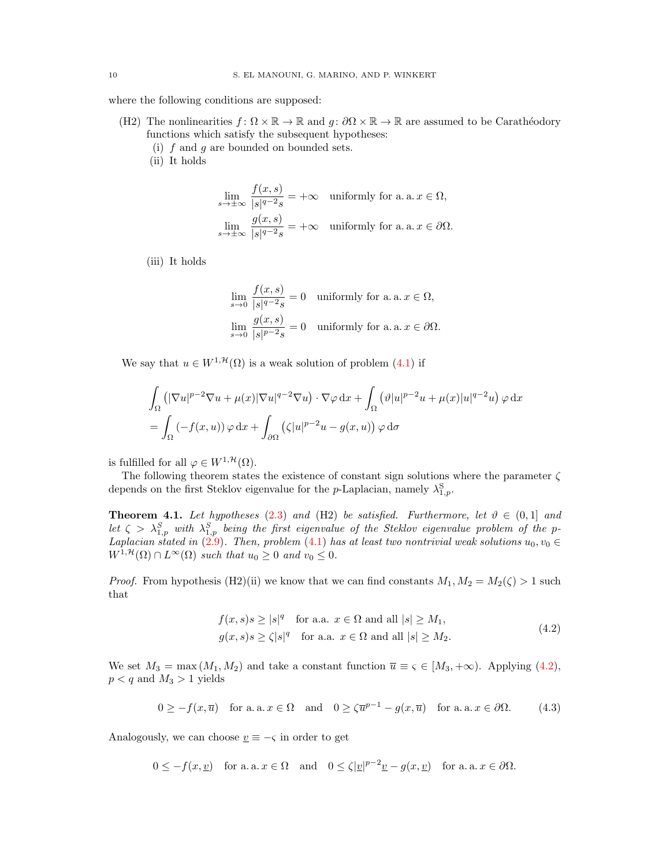where the following conditions are supposed:

- (H2) The nonlinearities  $f: \Omega \times \mathbb{R} \to \mathbb{R}$  and  $g: \partial \Omega \times \mathbb{R} \to \mathbb{R}$  are assumed to be Carathéodory functions which satisfy the subsequent hypotheses:
	- (i)  $f$  and  $q$  are bounded on bounded sets.
	- (ii) It holds

$$
\lim_{s \to \pm \infty} \frac{f(x, s)}{|s|^{q-2} s} = +\infty \quad \text{uniformly for a. a. } x \in \Omega,
$$
\n
$$
\lim_{s \to \pm \infty} \frac{g(x, s)}{|s|^{q-2} s} = +\infty \quad \text{uniformly for a. a. } x \in \partial \Omega.
$$

(iii) It holds

$$
\lim_{s \to 0} \frac{f(x, s)}{|s|^{q-2} s} = 0 \quad \text{uniformly for a. a. } x \in \Omega,
$$
  

$$
\lim_{s \to 0} \frac{g(x, s)}{|s|^{p-2} s} = 0 \quad \text{uniformly for a. a. } x \in \partial\Omega.
$$

We say that  $u \in W^{1, \mathcal{H}}(\Omega)$  is a weak solution of problem  $(4.1)$  if

$$
\int_{\Omega} \left( |\nabla u|^{p-2} \nabla u + \mu(x) |\nabla u|^{q-2} \nabla u \right) \cdot \nabla \varphi \, dx + \int_{\Omega} \left( \vartheta |u|^{p-2} u + \mu(x) |u|^{q-2} u \right) \varphi \, dx
$$
\n
$$
= \int_{\Omega} \left( -f(x, u) \right) \varphi \, dx + \int_{\partial \Omega} \left( \zeta |u|^{p-2} u - g(x, u) \right) \varphi \, d\sigma
$$

is fulfilled for all  $\varphi \in W^{1, \mathcal{H}}(\Omega)$ .

The following theorem states the existence of constant sign solutions where the parameter  $\zeta$ depends on the first Steklov eigenvalue for the *p*-Laplacian, namely  $\lambda_{1,p}^{\mathrm{S}}$ .

<span id="page-9-0"></span>**Theorem 4.1.** Let hypotheses [\(2.3\)](#page-2-1) and (H2) be satisfied. Furthermore, let  $\vartheta \in (0,1]$  and let  $\zeta > \lambda_{1,p}^S$  with  $\lambda_{1,p}^S$  being the first eigenvalue of the Steklov eigenvalue problem of the p-Laplacian stated in [\(2.9\)](#page-5-2). Then, problem [\(4.1\)](#page-8-2) has at least two nontrivial weak solutions  $u_0, v_0 \in$  $W^{1,\mathcal{H}}(\Omega) \cap L^{\infty}(\Omega)$  such that  $u_0 \geq 0$  and  $v_0 \leq 0$ .

*Proof.* From hypothesis (H2)(ii) we know that we can find constants  $M_1, M_2 = M_2(\zeta) > 1$  such that

<span id="page-9-2"></span><span id="page-9-1"></span>
$$
f(x,s)s \ge |s|^q \quad \text{for a.a. } x \in \Omega \text{ and all } |s| \ge M_1,
$$
  

$$
g(x,s)s \ge \zeta|s|^q \quad \text{for a.a. } x \in \Omega \text{ and all } |s| \ge M_2.
$$
 (4.2)

We set  $M_3 = \max(M_1, M_2)$  and take a constant function  $\overline{u} \equiv \varsigma \in [M_3, +\infty)$ . Applying [\(4.2\)](#page-9-1),  $p < q$  and  $M_3 > 1$  yields

 $0 \ge -f(x,\overline{u})$  for a. a.  $x \in \Omega$  and  $0 \ge \zeta \overline{u}^{p-1} - g(x,\overline{u})$  for a. a.  $x \in \partial\Omega$ . (4.3)

Analogously, we can choose  $\underline{v} \equiv -\varsigma$  in order to get

 $0 \leq -f(x, \underline{v})$  for a. a.  $x \in \Omega$  and  $0 \leq \zeta |\underline{v}|^{p-2} \underline{v} - g(x, \underline{v})$  for a. a.  $x \in \partial \Omega$ .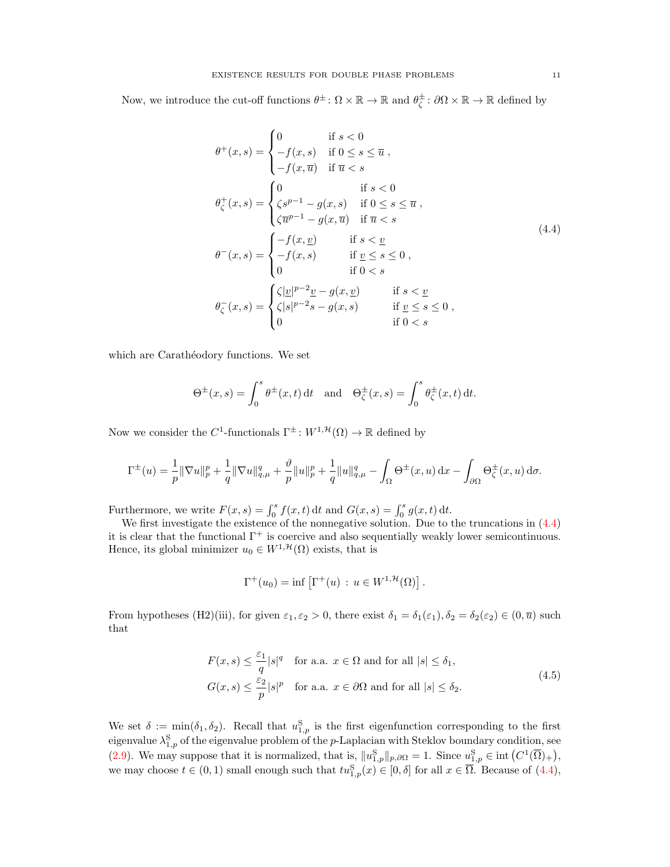Now, we introduce the cut-off functions  $\theta^{\pm} \colon \Omega \times \mathbb{R} \to \mathbb{R}$  and  $\theta_{\zeta}^{\pm} \colon \partial \Omega \times \mathbb{R} \to \mathbb{R}$  defined by

<span id="page-10-0"></span>
$$
\theta^+(x,s) = \begin{cases}\n0 & \text{if } s < 0 \\
-f(x,s) & \text{if } 0 \le s \le \overline{u} , \\
-f(x,\overline{u}) & \text{if } \overline{u} < s\n\end{cases}
$$
\n
$$
\theta^+_\zeta(x,s) = \begin{cases}\n0 & \text{if } s < 0 \\
\zeta s^{p-1} - g(x,s) & \text{if } 0 \le s \le \overline{u} , \\
\zeta \overline{u}^{p-1} - g(x,\overline{u}) & \text{if } \overline{u} < s\n\end{cases}
$$
\n
$$
\theta^-(x,s) = \begin{cases}\n-f(x,\underline{v}) & \text{if } s < \underline{v} \\
-f(x,s) & \text{if } \underline{v} \le s \le 0 , \\
0 & \text{if } 0 < s\n\end{cases}
$$
\n
$$
\theta^-_\zeta(x,s) = \begin{cases}\n\zeta |\underline{v}|^{p-2} \underline{v} - g(x,\underline{v}) & \text{if } s < \underline{v} \\
\zeta |s|^{p-2} s - g(x,s) & \text{if } \underline{v} \le s \le 0 , \\
0 & \text{if } 0 < s\n\end{cases}
$$

which are Carathéodory functions. We set

$$
\Theta^{\pm}(x,s) = \int_0^s \theta^{\pm}(x,t) dt \text{ and } \Theta^{\pm}_{\zeta}(x,s) = \int_0^s \theta^{\pm}_{\zeta}(x,t) dt.
$$

Now we consider the C<sup>1</sup>-functionals  $\Gamma^{\pm}$ :  $W^{1, \mathcal{H}}(\Omega) \to \mathbb{R}$  defined by

$$
\Gamma^{\pm}(u) = \frac{1}{p} \|\nabla u\|_{p}^{p} + \frac{1}{q} \|\nabla u\|_{q,\mu}^{q} + \frac{\vartheta}{p} \|u\|_{p}^{p} + \frac{1}{q} \|u\|_{q,\mu}^{q} - \int_{\Omega} \Theta^{\pm}(x, u) \,dx - \int_{\partial \Omega} \Theta^{\pm}_{\zeta}(x, u) \,d\sigma.
$$

Furthermore, we write  $F(x, s) = \int_0^s f(x, t) dt$  and  $G(x, s) = \int_0^s g(x, t) dt$ .

We first investigate the existence of the nonnegative solution. Due to the truncations in  $(4.4)$ it is clear that the functional  $\Gamma^+$  is coercive and also sequentially weakly lower semicontinuous. Hence, its global minimizer  $u_0 \in W^{1,\mathcal{H}}(\Omega)$  exists, that is

<span id="page-10-1"></span>
$$
\Gamma^+(u_0) = \inf \left[ \Gamma^+(u) \, : \, u \in W^{1, \mathcal{H}}(\Omega) \right].
$$

From hypotheses (H2)(iii), for given  $\varepsilon_1, \varepsilon_2 > 0$ , there exist  $\delta_1 = \delta_1(\varepsilon_1), \delta_2 = \delta_2(\varepsilon_2) \in (0, \overline{u})$  such that

$$
F(x,s) \le \frac{\varepsilon_1}{q}|s|^q \quad \text{for a.a. } x \in \Omega \text{ and for all } |s| \le \delta_1,
$$
  

$$
G(x,s) \le \frac{\varepsilon_2}{p}|s|^p \quad \text{for a.a. } x \in \partial\Omega \text{ and for all } |s| \le \delta_2.
$$
 (4.5)

We set  $\delta := \min(\delta_1, \delta_2)$ . Recall that  $u_{1,p}^S$  is the first eigenfunction corresponding to the first eigenvalue  $\lambda_{1,p}^{\mathrm{S}}$  of the eigenvalue problem of the p-Laplacian with Steklov boundary condition, see [\(2.9\)](#page-5-2). We may suppose that it is normalized, that is,  $||u_{1,p}^{\mathcal{S}}||_{p,\partial\Omega} = 1$ . Since  $u_{1,p}^{\mathcal{S}} \in \text{int}(C^1(\overline{\Omega})_+)$ , we may choose  $t \in (0,1)$  small enough such that  $tu_{1,p}^{S}(x) \in [0,\delta]$  for all  $x \in \overline{\Omega}$ . Because of  $(4.4)$ ,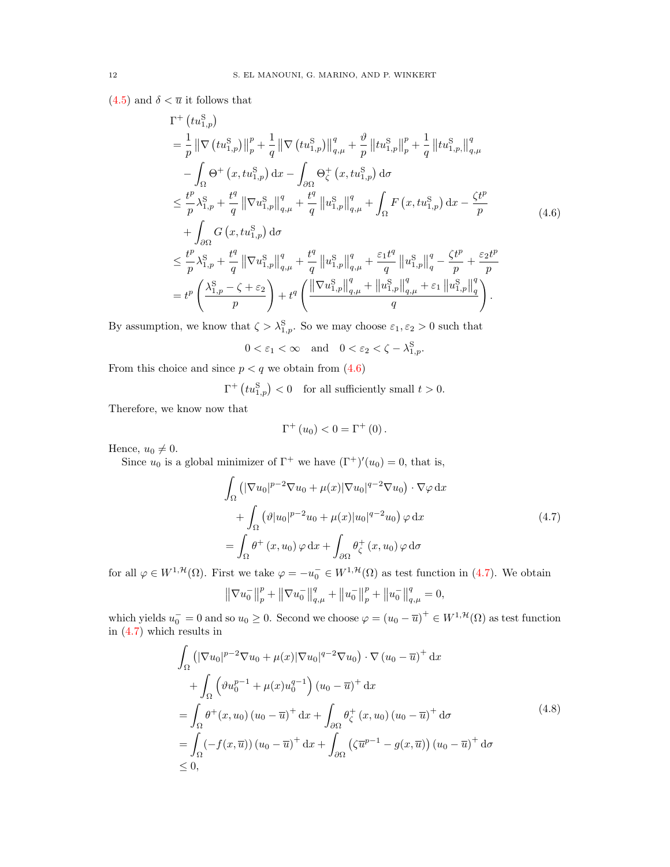$(4.5)$  and  $\delta < \overline{u}$  it follows that

$$
\Gamma^{+}\left(tu_{1,p}^{S}\right)
$$
\n
$$
= \frac{1}{p} \left\| \nabla \left(tu_{1,p}^{S}\right) \right\|_{p}^{p} + \frac{1}{q} \left\| \nabla \left(tu_{1,p}^{S}\right) \right\|_{q,\mu}^{q} + \frac{\vartheta}{p} \left\| tu_{1,p}^{S}\right\|_{p}^{p} + \frac{1}{q} \left\| tu_{1,p}^{S}\right\|_{q,\mu}^{q}
$$
\n
$$
- \int_{\Omega} \Theta^{+}\left(x, tu_{1,p}^{S}\right) dx - \int_{\partial \Omega} \Theta_{\zeta}^{+}\left(x, tu_{1,p}^{S}\right) d\sigma
$$
\n
$$
\leq \frac{t^{p}}{p} \lambda_{1,p}^{S} + \frac{t^{q}}{q} \left\| \nabla u_{1,p}^{S}\right\|_{q,\mu}^{q} + \frac{t^{q}}{q} \left\| u_{1,p}^{S}\right\|_{q,\mu}^{q} + \int_{\Omega} F\left(x, tu_{1,p}^{S}\right) dx - \frac{\zeta t^{p}}{p}
$$
\n
$$
+ \int_{\partial \Omega} G\left(x, tu_{1,p}^{S}\right) d\sigma
$$
\n
$$
\leq \frac{t^{p}}{p} \lambda_{1,p}^{S} + \frac{t^{q}}{q} \left\| \nabla u_{1,p}^{S}\right\|_{q,\mu}^{q} + \frac{t^{q}}{q} \left\| u_{1,p}^{S}\right\|_{q,\mu}^{q} + \frac{\varepsilon_{1}t^{q}}{q} \left\| u_{1,p}^{S}\right\|_{q}^{q} - \frac{\zeta t^{p}}{p} + \frac{\varepsilon_{2}t^{p}}{p}
$$
\n
$$
= t^{p} \left( \frac{\lambda_{1,p}^{S} - \zeta + \varepsilon_{2}}{p} \right) + t^{q} \left( \frac{\left\| \nabla u_{1,p}^{S}\right\|_{q,\mu}^{q} + \left\| u_{1,p}^{S}\right\|_{q,\mu}^{q} + \varepsilon_{1} \left\| u_{1,p}^{S}\right\|_{q}^{q}}{q} \right).
$$
\n(4.6)

By assumption, we know that  $\zeta > \lambda_{1,p}^S$ . So we may choose  $\varepsilon_1, \varepsilon_2 > 0$  such that

<span id="page-11-0"></span> $0 < \varepsilon_1 < \infty$  and  $0 < \varepsilon_2 < \zeta - \lambda_{1,p}^{\rm S}$ .

From this choice and since  $p < q$  we obtain from  $(4.6)$ 

 $\Gamma^+$   $\left(tu_{1,p}^{\mathrm{S}}\right) < 0$  for all sufficiently small  $t > 0$ .

Therefore, we know now that

<span id="page-11-1"></span>
$$
\Gamma^{+}\left(u_{0}\right) < 0 = \Gamma^{+}\left(0\right).
$$

Hence,  $u_0 \neq 0$ .

Since  $u_0$  is a global minimizer of  $\Gamma^+$  we have  $(\Gamma^+)'(u_0) = 0$ , that is,

$$
\int_{\Omega} \left( |\nabla u_0|^{p-2} \nabla u_0 + \mu(x) |\nabla u_0|^{q-2} \nabla u_0 \right) \cdot \nabla \varphi \, dx \n+ \int_{\Omega} \left( \vartheta |u_0|^{p-2} u_0 + \mu(x) |u_0|^{q-2} u_0 \right) \varphi \, dx \n= \int_{\Omega} \theta^+ (x, u_0) \varphi \, dx + \int_{\partial \Omega} \theta_{\zeta}^+ (x, u_0) \varphi \, d\sigma
$$
\n(4.7)

for all  $\varphi \in W^{1,\mathcal{H}}(\Omega)$ . First we take  $\varphi = -u_0^- \in W^{1,\mathcal{H}}(\Omega)$  as test function in [\(4.7\)](#page-11-1). We obtain

<span id="page-11-2"></span>
$$
\left\|\nabla u_0^-\right\|_p^p + \left\|\nabla u_0^-\right\|_{q,\mu}^q + \left\|u_0^-\right\|_p^p + \left\|u_0^-\right\|_{q,\mu}^q = 0,
$$

which yields  $u_0 = 0$  and so  $u_0 \ge 0$ . Second we choose  $\varphi = (u_0 - \overline{u})^+ \in W^{1, \mathcal{H}}(\Omega)$  as test function in [\(4.7\)](#page-11-1) which results in

$$
\int_{\Omega} \left( |\nabla u_0|^{p-2} \nabla u_0 + \mu(x) |\nabla u_0|^{q-2} \nabla u_0 \right) \cdot \nabla (u_0 - \overline{u})^+ dx \n+ \int_{\Omega} \left( \vartheta u_0^{p-1} + \mu(x) u_0^{q-1} \right) (u_0 - \overline{u})^+ dx \n= \int_{\Omega} \theta^+ (x, u_0) (u_0 - \overline{u})^+ dx + \int_{\partial \Omega} \theta_{\zeta}^+ (x, u_0) (u_0 - \overline{u})^+ d\sigma \n= \int_{\Omega} (-f(x, \overline{u})) (u_0 - \overline{u})^+ dx + \int_{\partial \Omega} \left( \zeta \overline{u}^{p-1} - g(x, \overline{u}) \right) (u_0 - \overline{u})^+ d\sigma \n\leq 0,
$$
\n(4.8)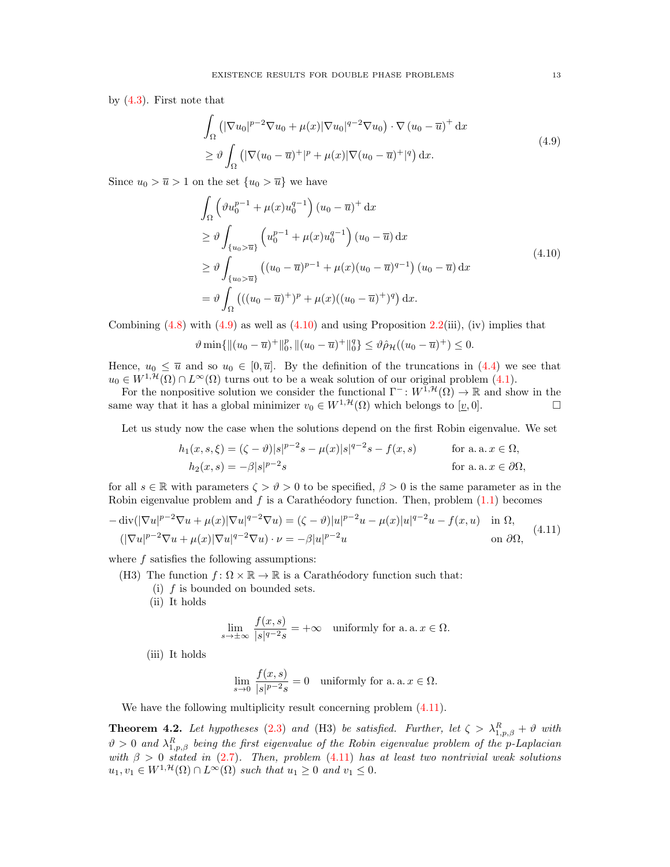by [\(4.3\)](#page-9-2). First note that

<span id="page-12-1"></span>
$$
\int_{\Omega} \left( |\nabla u_0|^{p-2} \nabla u_0 + \mu(x) |\nabla u_0|^{q-2} \nabla u_0 \right) \cdot \nabla (u_0 - \overline{u})^+ dx
$$
\n
$$
\geq \vartheta \int_{\Omega} \left( |\nabla (u_0 - \overline{u})^+|^p + \mu(x) |\nabla (u_0 - \overline{u})^+|^q \right) dx.
$$
\n(4.9)

Since  $u_0 > \overline{u} > 1$  on the set  $\{u_0 > \overline{u}\}\)$  we have

<span id="page-12-2"></span>
$$
\int_{\Omega} \left( \vartheta u_0^{p-1} + \mu(x) u_0^{q-1} \right) (u_0 - \overline{u})^+ dx
$$
\n
$$
\geq \vartheta \int_{\{u_0 > \overline{u}\}} \left( u_0^{p-1} + \mu(x) u_0^{q-1} \right) (u_0 - \overline{u}) dx
$$
\n
$$
\geq \vartheta \int_{\{u_0 > \overline{u}\}} \left( (u_0 - \overline{u})^{p-1} + \mu(x) (u_0 - \overline{u})^{q-1} \right) (u_0 - \overline{u}) dx
$$
\n
$$
= \vartheta \int_{\Omega} \left( ((u_0 - \overline{u})^+)^p + \mu(x) ((u_0 - \overline{u})^+)^q \right) dx.
$$
\n(4.10)

Combining  $(4.8)$  with  $(4.9)$  as well as  $(4.10)$  and using Proposition [2.2\(](#page-4-3)iii), (iv) implies that

$$
\vartheta \min\{\|(u_0 - \overline{u})^+\|_0^p, \|(u_0 - \overline{u})^+\|_0^q\} \le \vartheta \hat{\rho}_{\mathcal{H}}((u_0 - \overline{u})^+) \le 0.
$$

Hence,  $u_0 \leq \overline{u}$  and so  $u_0 \in [0, \overline{u}]$ . By the definition of the truncations in [\(4.4\)](#page-10-0) we see that  $u_0 \in W^{1, \mathcal{H}}(\Omega) \cap L^{\infty}(\Omega)$  turns out to be a weak solution of our original problem [\(4.1\)](#page-8-2).

For the nonpositive solution we consider the functional  $\Gamma^- : W^{\tilde{1},\mathcal{H}}(\Omega) \to \mathbb{R}$  and show in the same way that it has a global minimizer  $v_0 \in W^{1,\mathcal{H}}(\Omega)$  which belongs to  $[v, 0]$ .

Let us study now the case when the solutions depend on the first Robin eigenvalue. We set

$$
h_1(x, s, \xi) = (\zeta - \vartheta)|s|^{p-2}s - \mu(x)|s|^{q-2}s - f(x, s)
$$
 for a. a.  $x \in \Omega$ ,  
\n
$$
h_2(x, s) = -\beta|s|^{p-2}s
$$
 for a. a.  $x \in \partial\Omega$ ,

for all  $s \in \mathbb{R}$  with parameters  $\zeta > \vartheta > 0$  to be specified,  $\beta > 0$  is the same parameter as in the Robin eigenvalue problem and  $f$  is a Carathéodory function. Then, problem  $(1.1)$  becomes

<span id="page-12-3"></span>
$$
-\operatorname{div}(|\nabla u|^{p-2}\nabla u + \mu(x)|\nabla u|^{q-2}\nabla u) = (\zeta - \vartheta)|u|^{p-2}u - \mu(x)|u|^{q-2}u - f(x,u) \quad \text{in } \Omega,
$$
  

$$
(|\nabla u|^{p-2}\nabla u + \mu(x)|\nabla u|^{q-2}\nabla u) \cdot \nu = -\beta|u|^{p-2}u \qquad \text{on } \partial\Omega,
$$
 (4.11)

where  $f$  satisfies the following assumptions:

(H3) The function  $f: \Omega \times \mathbb{R} \to \mathbb{R}$  is a Carathéodory function such that:

(i)  $f$  is bounded on bounded sets.

(ii) It holds

$$
\lim_{s \to \pm \infty} \frac{f(x, s)}{|s|^{q-2} s} = +\infty \quad \text{uniformly for a. a. } x \in \Omega.
$$

(iii) It holds

$$
\lim_{s \to 0} \frac{f(x, s)}{|s|^{p-2} s} = 0 \quad \text{uniformly for a. a. } x \in \Omega.
$$

We have the following multiplicity result concerning problem  $(4.11)$ .

<span id="page-12-0"></span>**Theorem 4.2.** Let hypotheses [\(2.3\)](#page-2-1) and (H3) be satisfied. Further, let  $\zeta > \lambda_{1,p,\beta}^R + \vartheta$  with  $\vartheta > 0$  and  $\lambda_{1,p,\beta}^{R}$  being the first eigenvalue of the Robin eigenvalue problem of the p-Laplacian with  $\beta > 0$  stated in [\(2.7\)](#page-5-1). Then, problem [\(4.11\)](#page-12-3) has at least two nontrivial weak solutions  $u_1, v_1 \in W^{1,\mathcal{H}}(\Omega) \cap L^{\infty}(\Omega)$  such that  $u_1 \geq 0$  and  $v_1 \leq 0$ .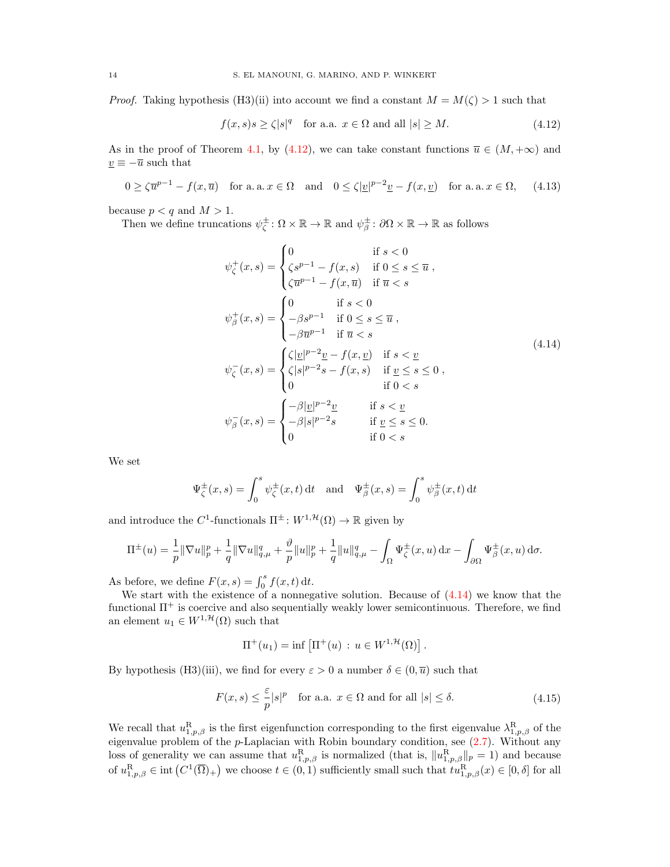*Proof.* Taking hypothesis (H3)(ii) into account we find a constant  $M = M(\zeta) > 1$  such that

<span id="page-13-3"></span><span id="page-13-0"></span>
$$
f(x,s)s \ge \zeta|s|^q \quad \text{for a.a. } x \in \Omega \text{ and all } |s| \ge M. \tag{4.12}
$$

As in the proof of Theorem [4.1,](#page-9-0) by [\(4.12\)](#page-13-0), we can take constant functions  $\overline{u} \in (M, +\infty)$  and  $\underline{v} \equiv -\overline{u}$  such that

$$
0 \ge \zeta \overline{u}^{p-1} - f(x, \overline{u}) \quad \text{for a. a.} \ x \in \Omega \quad \text{and} \quad 0 \le \zeta |v|^{p-2} \underline{v} - f(x, \underline{v}) \quad \text{for a. a.} \ x \in \Omega,\tag{4.13}
$$

because  $p < q$  and  $M > 1$ .

Then we define truncations  $\psi_{\zeta}^{\pm} \colon \Omega \times \mathbb{R} \to \mathbb{R}$  and  $\psi_{\beta}^{\pm} \colon \partial \Omega \times \mathbb{R} \to \mathbb{R}$  as follows

<span id="page-13-1"></span>
$$
\psi_{\zeta}^{+}(x,s) = \begin{cases}\n0 & \text{if } s < 0 \\
\zeta s^{p-1} - f(x,s) & \text{if } 0 \le s \le \overline{u} , \\
\zeta \overline{u}^{p-1} - f(x,\overline{u}) & \text{if } \overline{u} < s\n\end{cases}
$$
\n
$$
\psi_{\beta}^{+}(x,s) = \begin{cases}\n0 & \text{if } s < 0 \\
-\beta s^{p-1} & \text{if } 0 \le s \le \overline{u} , \\
-\beta \overline{u}^{p-1} & \text{if } \overline{u} < s\n\end{cases}
$$
\n
$$
\psi_{\zeta}^{-}(x,s) = \begin{cases}\n\zeta |\underline{v}|^{p-2} \underline{v} - f(x,\underline{v}) & \text{if } s < \underline{v} \\
\zeta |s|^{p-2} s - f(x,s) & \text{if } \underline{v} \le s \le 0 , \\
0 & \text{if } 0 < s\n\end{cases}
$$
\n
$$
\psi_{\beta}^{-}(x,s) = \begin{cases}\n-\beta |\underline{v}|^{p-2} \underline{v} & \text{if } s < \underline{v} \\
-\beta |s|^{p-2} s & \text{if } \underline{v} \le s \le 0 . \\
0 & \text{if } 0 < s\n\end{cases}
$$
\n(4.14)

We set

$$
\Psi_{\zeta}^{\pm}(x,s) = \int_0^s \psi_{\zeta}^{\pm}(x,t) dt \text{ and } \Psi_{\beta}^{\pm}(x,s) = \int_0^s \psi_{\beta}^{\pm}(x,t) dt
$$

and introduce the  $C^1$ -functionals  $\Pi^{\pm}$ :  $W^{1, \mathcal{H}}(\Omega) \to \mathbb{R}$  given by

$$
\Pi^{\pm}(u) = \frac{1}{p} \|\nabla u\|_{p}^{p} + \frac{1}{q} \|\nabla u\|_{q,\mu}^{q} + \frac{\vartheta}{p} \|u\|_{p}^{p} + \frac{1}{q} \|u\|_{q,\mu}^{q} - \int_{\Omega} \Psi_{\zeta}^{\pm}(x, u) \,dx - \int_{\partial \Omega} \Psi_{\beta}^{\pm}(x, u) \,d\sigma.
$$

As before, we define  $F(x, s) = \int_0^s f(x, t) dt$ .

We start with the existence of a nonnegative solution. Because of  $(4.14)$  we know that the functional  $\Pi^+$  is coercive and also sequentially weakly lower semicontinuous. Therefore, we find an element  $u_1 \in W^{1, \mathcal{H}}(\Omega)$  such that

<span id="page-13-2"></span>
$$
\Pi^+(u_1) = \inf \left[ \Pi^+(u) \, : \, u \in W^{1,\mathcal{H}}(\Omega) \right].
$$

By hypothesis (H3)(iii), we find for every  $\varepsilon > 0$  a number  $\delta \in (0, \overline{u})$  such that

$$
F(x,s) \le \frac{\varepsilon}{p} |s|^p \quad \text{for a.a. } x \in \Omega \text{ and for all } |s| \le \delta. \tag{4.15}
$$

We recall that  $u_{1,p,\beta}^{\text{R}}$  is the first eigenfunction corresponding to the first eigenvalue  $\lambda_{1,p,\beta}^{\text{R}}$  of the eigenvalue problem of the  $p$ -Laplacian with Robin boundary condition, see  $(2.7)$ . Without any loss of generality we can assume that  $u_{1,p,\beta}^{R}$  is normalized (that is,  $||u_{1,p,\beta}^{R}||_{p} = 1$ ) and because of  $u_{1,p,\beta}^{\mathbf{R}} \in \text{int}(C^1(\overline{\Omega})_+)$  we choose  $t \in (0,1)$  sufficiently small such that  $tu_{1,p,\beta}^{\mathbf{R}}(x) \in [0,\delta]$  for all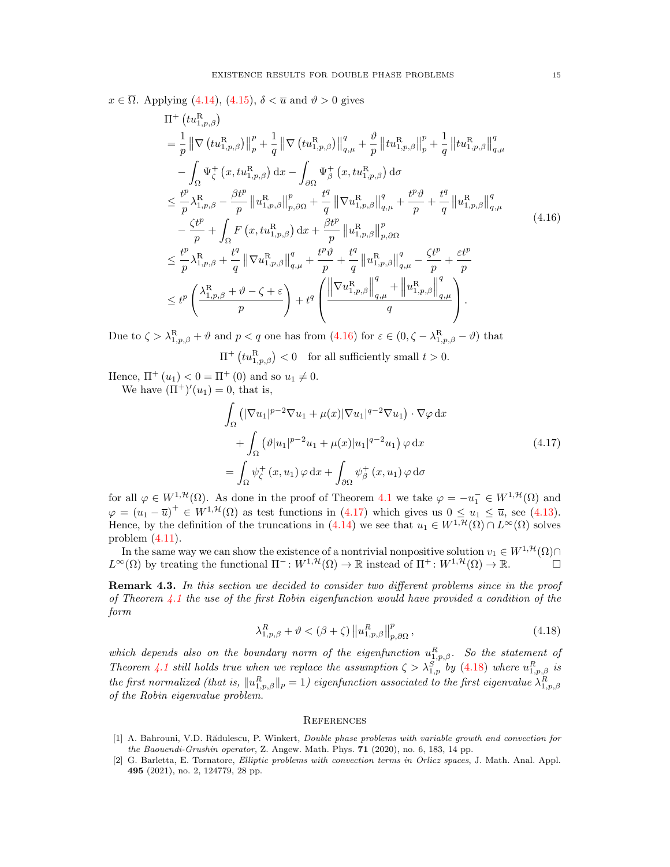$x \in \overline{\Omega}$ . Applying [\(4.14\)](#page-13-1), [\(4.15\)](#page-13-2),  $\delta < \overline{u}$  and  $\vartheta > 0$  gives

$$
\Pi^{+}\left(tu_{1,p,\beta}^{\mathrm{R}}\right) \n= \frac{1}{p} \left\| \nabla \left(tu_{1,p,\beta}^{\mathrm{R}}\right) \right\|_{p}^{p} + \frac{1}{q} \left\| \nabla \left(tu_{1,p,\beta}^{\mathrm{R}}\right) \right\|_{q,\mu}^{q} + \frac{\vartheta}{p} \left\|tu_{1,p,\beta}^{\mathrm{R}}\right\|_{p}^{p} + \frac{1}{q} \left\|tu_{1,p,\beta}^{\mathrm{R}}\right\|_{q,\mu}^{q} \n- \int_{\Omega} \Psi_{\zeta}^{+}\left(x, tu_{1,p,\beta}^{\mathrm{R}}\right) dx - \int_{\partial\Omega} \Psi_{\beta}^{+}\left(x, tu_{1,p,\beta}^{\mathrm{R}}\right) d\sigma \n\leq \frac{t^{p}}{p} \lambda_{1,p,\beta}^{\mathrm{R}} - \frac{\beta t^{p}}{p} \left\|u_{1,p,\beta}^{\mathrm{R}}\right\|_{p,\partial\Omega}^{p} + \frac{t^{q}}{q} \left\|\nabla u_{1,p,\beta}^{\mathrm{R}}\right\|_{q,\mu}^{q} + \frac{t^{p}\vartheta}{p} + \frac{t^{q}}{q} \left\|u_{1,p,\beta}^{\mathrm{R}}\right\|_{q,\mu}^{q} \n- \frac{\zeta t^{p}}{p} + \int_{\Omega} F\left(x, tu_{1,p,\beta}^{\mathrm{R}}\right) dx + \frac{\beta t^{p}}{p} \left\|u_{1,p,\beta}^{\mathrm{R}}\right\|_{p,\partial\Omega}^{p} \n\leq \frac{t^{p}}{p} \lambda_{1,p,\beta}^{\mathrm{R}} + \frac{t^{q}}{q} \left\|\nabla u_{1,p,\beta}^{\mathrm{R}}\right\|_{q,\mu}^{q} + \frac{t^{p}\vartheta}{p} + \frac{t^{q}}{q} \left\|u_{1,p,\beta}^{\mathrm{R}}\right\|_{q,\mu}^{q} - \frac{\zeta t^{p}}{p} + \frac{\varepsilon t^{p}}{p} \n\leq t^{p} \left(\frac{\lambda_{1,p,\beta}^{\mathrm{R}} + \vartheta - \zeta + \varepsilon}{p}\right) + t^{q} \left(\frac{\left\|\nabla u_{1,p,\beta}^{\
$$

Due to  $\zeta > \lambda_{1,p,\beta}^{\rm R} + \vartheta$  and  $p < q$  one has from  $(4.16)$  for  $\varepsilon \in (0, \zeta - \lambda_{1,p,\beta}^{\rm R} - \vartheta)$  that

<span id="page-14-2"></span> $\Pi^+\left(tu_{1,p,\beta}^{\rm R}\right)<0$  for all sufficiently small  $t>0$ .

Hence,  $\Pi^+(u_1) < 0 = \Pi^+(0)$  and so  $u_1 \neq 0$ . We have  $(\Pi^+)'(u_1) = 0$ , that is,

<span id="page-14-3"></span>
$$
\int_{\Omega} \left( |\nabla u_1|^{p-2} \nabla u_1 + \mu(x) |\nabla u_1|^{q-2} \nabla u_1 \right) \cdot \nabla \varphi \, dx \n+ \int_{\Omega} \left( \vartheta |u_1|^{p-2} u_1 + \mu(x) |u_1|^{q-2} u_1 \right) \varphi \, dx \n= \int_{\Omega} \psi_{\zeta}^+(x, u_1) \varphi \, dx + \int_{\partial \Omega} \psi_{\beta}^+(x, u_1) \varphi \, d\sigma
$$
\n(4.17)

for all  $\varphi \in W^{1,\mathcal{H}}(\Omega)$ . As done in the proof of Theorem [4.1](#page-9-0) we take  $\varphi = -u_1^- \in W^{1,\mathcal{H}}(\Omega)$  and  $\varphi = (u_1 - \overline{u})^+ \in W^{1,1}(\Omega)$  as test functions in [\(4.17\)](#page-14-3) which gives us  $0 \le u_1 \le \overline{u}$ , see [\(4.13\)](#page-13-3). Hence, by the definition of the truncations in  $(4.14)$  we see that  $u_1 \in W^{1,\mathcal{H}}(\Omega) \cap L^{\infty}(\Omega)$  solves problem [\(4.11\)](#page-12-3).

In the same way we can show the existence of a nontrivial nonpositive solution  $v_1 \in W^{1, \mathcal{H}}(\Omega) \cap$  $L^{\infty}(\Omega)$  by treating the functional  $\Pi^- : W^{1,\mathcal{H}}(\Omega) \to \mathbb{R}$  instead of  $\Pi^+ : W^{1,\mathcal{H}}(\Omega) \to \mathbb{R}$ .

Remark 4.3. In this section we decided to consider two different problems since in the proof of Theorem [4.1](#page-9-0) the use of the first Robin eigenfunction would have provided a condition of the form

$$
\lambda_{1,p,\beta}^{R} + \vartheta < (\beta + \zeta) \left\| u_{1,p,\beta}^{R} \right\|_{p,\partial\Omega}^{p},\tag{4.18}
$$

which depends also on the boundary norm of the eigenfunction  $u_{1,p,\beta}^R$ . So the statement of Theorem [4.1](#page-9-0) still holds true when we replace the assumption  $\zeta > \lambda_{1,p}^S$  by [\(4.18\)](#page-14-4) where  $u_{1,p,\beta}^R$  is the first normalized (that is,  $||u_{1,p,\beta}^R||_p = 1$ ) eigenfunction associated to the first eigenvalue  $\lambda_{1,p,\beta}^R$ of the Robin eigenvalue problem.

### <span id="page-14-4"></span>**REFERENCES**

- <span id="page-14-0"></span>[1] A. Bahrouni, V.D. Rădulescu, P. Winkert, Double phase problems with variable growth and convection for the Baouendi-Grushin operator, Z. Angew. Math. Phys. 71 (2020), no. 6, 183, 14 pp.
- <span id="page-14-1"></span>[2] G. Barletta, E. Tornatore, Elliptic problems with convection terms in Orlicz spaces, J. Math. Anal. Appl. 495 (2021), no. 2, 124779, 28 pp.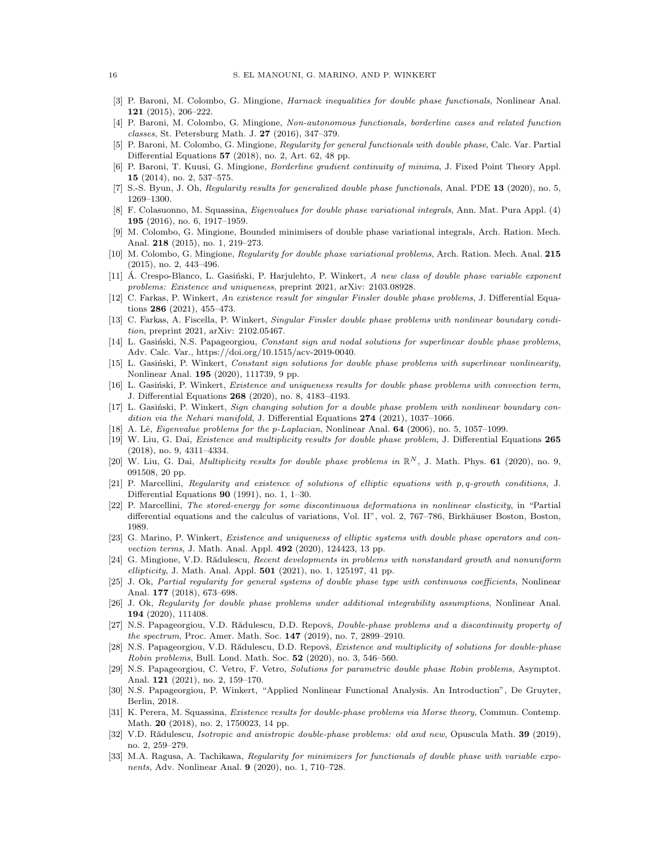- <span id="page-15-0"></span>[3] P. Baroni, M. Colombo, G. Mingione, Harnack inequalities for double phase functionals, Nonlinear Anal. 121 (2015), 206–222.
- <span id="page-15-1"></span>[4] P. Baroni, M. Colombo, G. Mingione, Non-autonomous functionals, borderline cases and related function classes, St. Petersburg Math. J. 27 (2016), 347–379.
- <span id="page-15-2"></span>[5] P. Baroni, M. Colombo, G. Mingione, Regularity for general functionals with double phase, Calc. Var. Partial Differential Equations 57 (2018), no. 2, Art. 62, 48 pp.
- <span id="page-15-3"></span>[6] P. Baroni, T. Kuusi, G. Mingione, Borderline gradient continuity of minima, J. Fixed Point Theory Appl. 15 (2014), no. 2, 537–575.
- <span id="page-15-4"></span>[7] S.-S. Byun, J. Oh, Regularity results for generalized double phase functionals, Anal. PDE 13 (2020), no. 5, 1269–1300.
- <span id="page-15-16"></span>[8] F. Colasuonno, M. Squassina, Eigenvalues for double phase variational integrals, Ann. Mat. Pura Appl. (4) 195 (2016), no. 6, 1917–1959.
- <span id="page-15-5"></span>[9] M. Colombo, G. Mingione, Bounded minimisers of double phase variational integrals, Arch. Ration. Mech. Anal. 218 (2015), no. 1, 219–273.
- <span id="page-15-6"></span>[10] M. Colombo, G. Mingione, Regularity for double phase variational problems, Arch. Ration. Mech. Anal. 215 (2015), no. 2, 443–496.
- <span id="page-15-28"></span>[11] A. Crespo-Blanco, L. Gasiński, P. Harjulehto, P. Winkert, A new class of double phase variable exponent problems: Existence and uniqueness, preprint 2021, arXiv: 2103.08928.
- <span id="page-15-17"></span>[12] C. Farkas, P. Winkert, An existence result for singular Finsler double phase problems, J. Differential Equations 286 (2021), 455–473.
- <span id="page-15-15"></span>[13] C. Farkas, A. Fiscella, P. Winkert, Singular Finsler double phase problems with nonlinear boundary condition, preprint 2021, arXiv: 2102.05467.
- <span id="page-15-18"></span>[14] L. Gasiński, N.S. Papageorgiou, Constant sign and nodal solutions for superlinear double phase problems, Adv. Calc. Var., https://doi.org/10.1515/acv-2019-0040.
- <span id="page-15-19"></span>[15] L. Gasinski, P. Winkert, Constant sign solutions for double phase problems with superlinear nonlinearity, Nonlinear Anal. 195 (2020), 111739, 9 pp.
- <span id="page-15-20"></span>[16] L. Gasiński, P. Winkert, Existence and uniqueness results for double phase problems with convection term, J. Differential Equations 268 (2020), no. 8, 4183–4193.
- <span id="page-15-14"></span>[17] L. Gasiński, P. Winkert, Sign changing solution for a double phase problem with nonlinear boundary condition via the Nehari manifold, J. Differential Equations 274 (2021), 1037-1066.
- <span id="page-15-30"></span>[18] A. Lê, Eigenvalue problems for the p-Laplacian, Nonlinear Anal. 64 (2006), no. 5, 1057-1099.
- <span id="page-15-21"></span>[19] W. Liu, G. Dai, Existence and multiplicity results for double phase problem, J. Differential Equations 265 (2018), no. 9, 4311–4334.
- <span id="page-15-24"></span>[20] W. Liu, G. Dai, *Multiplicity results for double phase problems in*  $\mathbb{R}^N$ , J. Math. Phys. **61** (2020), no. 9, 091508, 20 pp.
- <span id="page-15-8"></span>[21] P. Marcellini, Regularity and existence of solutions of elliptic equations with p, q-growth conditions, J. Differential Equations 90 (1991), no. 1, 1–30.
- <span id="page-15-7"></span>[22] P. Marcellini, The stored-energy for some discontinuous deformations in nonlinear elasticity, in "Partial differential equations and the calculus of variations, Vol. II", vol. 2, 767–786, Birkhäuser Boston, Boston, 1989.
- <span id="page-15-22"></span>[23] G. Marino, P. Winkert, Existence and uniqueness of elliptic systems with double phase operators and convection terms, J. Math. Anal. Appl. 492 (2020), 124423, 13 pp.
- <span id="page-15-27"></span>[24] G. Mingione, V.D. Rădulescu, Recent developments in problems with nonstandard growth and nonuniform ellipticity, J. Math. Anal. Appl.  $501$  (2021), no. 1, 125197, 41 pp.
- <span id="page-15-9"></span>[25] J. Ok, Partial regularity for general systems of double phase type with continuous coefficients, Nonlinear Anal. 177 (2018), 673–698.
- <span id="page-15-10"></span>[26] J. Ok, Regularity for double phase problems under additional integrability assumptions, Nonlinear Anal. 194 (2020), 111408.
- <span id="page-15-25"></span>[27] N.S. Papageorgiou, V.D. Rădulescu, D.D. Repovš, Double-phase problems and a discontinuity property of the spectrum, Proc. Amer. Math. Soc. 147 (2019), no. 7, 2899–2910.
- <span id="page-15-13"></span>[28] N.S. Papageorgiou, V.D. Rădulescu, D.D. Repovš, Existence and multiplicity of solutions for double-phase Robin problems, Bull. Lond. Math. Soc.  $52$  (2020), no. 3, 546–560.
- <span id="page-15-12"></span>[29] N.S. Papageorgiou, C. Vetro, F. Vetro, Solutions for parametric double phase Robin problems, Asymptot. Anal. 121 (2021), no. 2, 159–170.
- <span id="page-15-29"></span>[30] N.S. Papageorgiou, P. Winkert, "Applied Nonlinear Functional Analysis. An Introduction", De Gruyter, Berlin, 2018.
- <span id="page-15-23"></span>[31] K. Perera, M. Squassina, Existence results for double-phase problems via Morse theory, Commun. Contemp. Math. 20 (2018), no. 2, 1750023, 14 pp.
- <span id="page-15-26"></span>[32] V.D. Rădulescu, *Isotropic and anistropic double-phase problems: old and new*, Opuscula Math. **39** (2019), no. 2, 259–279.
- <span id="page-15-11"></span>[33] M.A. Ragusa, A. Tachikawa, Regularity for minimizers for functionals of double phase with variable exponents, Adv. Nonlinear Anal. 9 (2020), no. 1, 710–728.